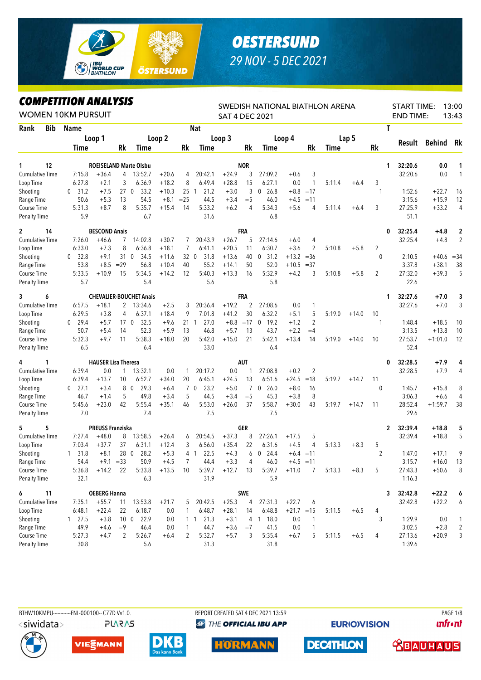

## *OESTERSUND 29 NOV - 5 DEC 2021*

## *COMPETITION ANALYSIS*

| <i><b>COMPEILION ANALYSIS</b></i><br><b>WOMEN 10KM PURSUIT</b> |                      |                            |                 |                                |         |        |                        | <b>SAT 4 DEC 2021</b> |            | SWEDISH NATIONAL BIATHLON ARENA |              |                |        |         |                | <b>START TIME:</b><br><b>END TIME:</b> |           | 13:00<br>13:43          |
|----------------------------------------------------------------|----------------------|----------------------------|-----------------|--------------------------------|---------|--------|------------------------|-----------------------|------------|---------------------------------|--------------|----------------|--------|---------|----------------|----------------------------------------|-----------|-------------------------|
| Rank<br>Bib                                                    | Name                 |                            |                 |                                |         |        | <b>Nat</b>             |                       |            |                                 |              |                |        |         | Τ              |                                        |           |                         |
|                                                                |                      | Loop 1                     |                 |                                | Loop 2  |        |                        | Loop 3                |            |                                 | Loop 4       |                |        | Lap 5   |                |                                        |           |                         |
|                                                                | Time                 |                            | <b>Rk</b>       | Time                           |         | Rk     | Time                   |                       | Rk         | Time                            |              | Rk             | Time   |         | Rk             | Result                                 | Behind    | Rk                      |
| 12<br>1                                                        |                      |                            |                 | <b>ROEISELAND Marte Olsbu</b>  |         |        |                        |                       | <b>NOR</b> |                                 |              |                |        |         |                | 32:20.6<br>1.                          | 0.0       | 1                       |
| <b>Cumulative Time</b>                                         | 7:15.8               | $+36.4$                    | 4               | 13:52.7                        | $+20.6$ | 4      | 20:42.1                | $+24.9$               | 3          | 27:09.2                         | $+0.6$       | 3              |        |         |                | 32:20.6                                | 0.0       | 1                       |
| Loop Time                                                      | 6:27.8               | $+2.1$                     | 3               | 6:36.9                         | $+18.2$ | 8      | 6:49.4                 | $+28.8$               | 15         | 6:27.1                          | 0.0          | $\mathbf{1}$   | 5:11.4 | $+6.4$  | 3              |                                        |           |                         |
| Shooting                                                       | 31.2<br>0            | $+7.5$                     | 270             | 33.2                           | $+10.3$ | 25 1   | 21.2                   | $+3.0$                | 3          | 26.8<br>0                       | $+8.8$       | $=17$          |        |         | 1              | 1:52.6                                 | $+22.7$   | 16                      |
| Range Time                                                     | 50.6                 | $+5.3$                     | 13              | 54.5                           | $+8.1$  | $= 25$ | 44.5                   | $+3.4$                | $=$ 5      | 46.0                            | $+4.5$       | $=11$          |        |         |                | 3:15.6                                 | $+15.9$   | 12                      |
| Course Time                                                    | 5:31.3               | $+8.7$                     | 8               | 5:35.7                         | $+15.4$ | 14     | 5:33.2                 | $+6.2$                | 4          | 5:34.3                          | $+5.6$       | 4              | 5:11.4 | $+6.4$  | 3              | 27:25.9                                | $+33.2$   | 4                       |
| <b>Penalty Time</b>                                            | 5.9                  |                            |                 | 6.7                            |         |        | 31.6                   |                       |            | 6.8                             |              |                |        |         |                | 51.1                                   |           |                         |
| $\mathbf{2}$<br>14                                             |                      | <b>BESCOND Anais</b>       |                 |                                |         |        |                        |                       | FRA        |                                 |              |                |        |         |                | 32:25.4<br>0                           | $+4.8$    | $\overline{\mathbf{c}}$ |
| <b>Cumulative Time</b>                                         | 7:26.0               | $+46.6$                    | 7               | 14:02.8                        | $+30.7$ | 7      | 20:43.9                | $+26.7$               | 5          | 27:14.6                         | $+6.0$       | 4              |        |         |                | 32:25.4                                | $+4.8$    | $\overline{2}$          |
| Loop Time                                                      | 6:33.0               | $+7.3$                     | 8               | 6:36.8                         | $+18.1$ | 7      | 6:41.1                 | $+20.5$               | 11         | 6:30.7                          | $+3.6$       | 2              | 5:10.8 | $+5.8$  | 2              |                                        |           |                         |
| Shooting                                                       | 32.8<br>$\theta$     | $+9.1$                     | 31 0            | 34.5                           | $+11.6$ | 32 0   | 31.8                   | $+13.6$               | 40         | 31.2<br>0                       | $+13.2$      | $=36$          |        |         | $\mathbf{0}$   | 2:10.5                                 | $+40.6$   | $=34$                   |
| Range Time                                                     | 53.8                 | $+8.5$                     | $=29$           | 56.8                           | $+10.4$ | 40     | 55.2                   | $+14.1$               | 50         | 52.0                            | $+10.5$      | $=37$          |        |         |                | 3:37.8                                 | $+38.1$   | 38                      |
| Course Time                                                    | 5:33.5               | $+10.9$                    | 15              | 5:34.5                         | $+14.2$ | 12     | 5:40.3                 | $+13.3$               | 16         | 5:32.9                          | $+4.2$       | 3              | 5:10.8 | $+5.8$  | $\overline{2}$ | 27:32.0                                | $+39.3$   | 5                       |
| <b>Penalty Time</b>                                            | 5.7                  |                            |                 | 5.4                            |         |        | 5.6                    |                       |            | 5.8                             |              |                |        |         |                | 22.6                                   |           |                         |
| 3<br>6                                                         |                      |                            |                 | <b>CHEVALIER-BOUCHET Anais</b> |         |        |                        |                       | <b>FRA</b> |                                 |              |                |        |         | 1              | 32:27.6                                | $+7.0$    | 3                       |
| <b>Cumulative Time</b>                                         | 6:57.5               | $+18.1$                    | 2               | 13:34.6                        | $+2.5$  | 3      | 20:36.4                | $+19.2$               | 2          | 27:08.6                         | 0.0          | 1              |        |         |                | 32:27.6                                | $+7.0$    | 3                       |
| Loop Time                                                      | 6:29.5               | $+3.8$                     | 4               | 6:37.1                         | $+18.4$ | 9      | 7:01.8                 | $+41.2$               | 30         | 6:32.2                          | $+5.1$       | 5              | 5:19.0 | $+14.0$ | 10             |                                        |           |                         |
| Shooting                                                       | 29.4<br>0            | $+5.7$                     | 17 <sub>0</sub> | 32.5                           | $+9.6$  |        | 21 1<br>27.0           | $+8.8$                | $=17$      | $\mathbf 0$<br>19.2             | $+1.2$       | $\overline{2}$ |        |         | 1              | 1:48.4                                 | $+18.5$   | 10                      |
| Range Time                                                     | 50.7                 | $+5.4$                     | 14              | 52.3                           | $+5.9$  | 13     | 46.8                   | $+5.7$                | 13         | 43.7                            | $+2.2$       | $=4$           |        |         |                | 3:13.5                                 | $+13.8$   | 10                      |
| Course Time                                                    | 5:32.3               | $+9.7$                     | 11              | 5:38.3                         | $+18.0$ | 20     | 5:42.0                 | $+15.0$               | 21         | 5:42.1                          | $+13.4$      | 14             | 5:19.0 | $+14.0$ | 10             | 27:53.7                                | $+1:01.0$ | 12                      |
| <b>Penalty Time</b>                                            | 6.5                  |                            |                 | 6.4                            |         |        | 33.0                   |                       |            | 6.4                             |              |                |        |         |                | 52.4                                   |           |                         |
| 1<br>4                                                         |                      | <b>HAUSER Lisa Theresa</b> |                 |                                |         |        |                        |                       | AUT        |                                 |              |                |        |         |                | 32:28.5<br>0                           | $+7.9$    | 4                       |
| <b>Cumulative Time</b>                                         | 6:39.4               | 0.0                        | 1               | 13:32.1                        | 0.0     | 1      | 20:17.2                | 0.0                   | 1          | 27:08.8                         | $+0.2$       | 2              |        |         |                | 32:28.5                                | $+7.9$    | 4                       |
| Loop Time                                                      | 6:39.4               | $+13.7$                    | 10              | 6:52.7                         | $+34.0$ | 20     | 6:45.1                 | $+24.5$               | 13         | 6:51.6                          | $+24.5$      | $=18$          | 5:19.7 | $+14.7$ | 11             |                                        |           |                         |
| Shooting                                                       | $0$ 27.1             | $+3.4$                     | 8               | 29.3<br>$\overline{0}$         | $+6.4$  |        | 7 <sub>0</sub><br>23.2 | $+5.0$                | 7          | 0, 26.0                         | $+8.0$       | 16             |        |         | 0              | 1:45.7                                 | $+15.8$   | 8                       |
| Range Time                                                     | 46.7                 | $+1.4$                     | 5               | 49.8                           | $+3.4$  | 5      | 44.5                   | $+3.4$                | $=$ 5      | 45.3                            | $+3.8$       | 8              |        |         |                | 3:06.3                                 | $+6.6$    | 4                       |
| Course Time                                                    | 5:45.6               | $+23.0$                    | 42              | 5:55.4                         | $+35.1$ | 46     | 5:53.0                 | $+26.0$               | 37         | 5:58.7                          | $+30.0$      | 43             | 5:19.7 | $+14.7$ | 11             | 28:52.4                                | $+1:59.7$ | 38                      |
| <b>Penalty Time</b>                                            | 7.0                  |                            |                 | 7.4                            |         |        | 7.5                    |                       |            | 7.5                             |              |                |        |         |                | 29.6                                   |           |                         |
| 5<br>5                                                         |                      | <b>PREUSS Franziska</b>    |                 |                                |         |        |                        |                       | GER        |                                 |              |                |        |         | 2              | 32:39.4                                | $+18.8$   | 5                       |
| <b>Cumulative Time</b>                                         | 7:27.4               | $+48.0$                    | 8               | 13:58.5                        | $+26.4$ | 6      | 20:54.5                | $+37.3$               | 8          | 27:26.1                         | $+17.5$      | 5              |        |         |                | 32:39.4                                | $+18.8$   | 5                       |
| Loop Time                                                      | 7:03.4               | $+37.7$                    | 37              | 6:31.1                         | $+12.4$ | 3      | 6:56.0                 | $+35.4$               | 22         | 6:31.6                          | $+4.5$       | 4              | 5:13.3 | $+8.3$  | 5              |                                        |           |                         |
| Shooting                                                       | 31.8<br>$\mathbf{1}$ | $+8.1$                     | 28 0            | 28.2                           | $+5.3$  |        | 4 1<br>22.5            | $+4.3$                | 6          | $\mathbf{0}$<br>24.4            |              | $+6.4 = 11$    |        |         | $\overline{2}$ | 1:47.0                                 | $+17.1$   | 9                       |
| Range Time                                                     | 54.4                 |                            | $+9.1 = 33$     | 50.9                           | $+4.5$  | 7      | 44.4                   | $+3.3$                | 4          | 46.0                            | $+4.5 = 11$  |                |        |         |                | 3:15.7                                 | $+16.0$   | 13                      |
| Course Time                                                    | 5:36.8               | $+14.2$                    | 22              | 5:33.8                         | $+13.5$ | 10     | 5:39.7                 | $+12.7$               | - 13       | 5:39.7                          | $+11.0$      | 7              | 5:13.3 | $+8.3$  | 5              | 27:43.3                                | $+50.6$   | 8                       |
| Penalty Time                                                   | 32.1                 |                            |                 | 6.3                            |         |        | 31.9                   |                       |            | 5.9                             |              |                |        |         |                | 1:16.3                                 |           |                         |
| 6<br>11                                                        |                      | <b>OEBERG Hanna</b>        |                 |                                |         |        |                        |                       | SWE        |                                 |              |                |        |         |                | 32:42.8<br>3                           | $+22.2$   | 6                       |
| Cumulative Time                                                | 7:35.1               | $+55.7$                    | 11              | 13:53.8                        | $+21.7$ | 5      | 20:42.5                | $+25.3$               | 4          | 27:31.3                         | $+22.7$      | 6              |        |         |                | 32:42.8                                | $+22.2$   | 6                       |
| Loop Time                                                      | 6:48.1               | $+22.4$                    | 22              | 6:18.7                         | 0.0     | 1      | 6:48.7                 | $+28.1$               | 14         | 6:48.8                          | $+21.7 = 15$ |                | 5:11.5 | $+6.5$  | 4              |                                        |           |                         |
| Shooting                                                       | $1 \quad 27.5$       | $+3.8$                     |                 | 10 0 22.9                      | 0.0     |        | 21.3<br>1 1            | $+3.1$                |            | 4 1 18.0                        | 0.0          | 1              |        |         | 3              | 1:29.9                                 | 0.0       | 1                       |
| Range Time                                                     | 49.9                 | $+4.6$                     | $=9$            | 46.4                           | 0.0     | 1      | 44.7                   | $+3.6$                | $=7$       | 41.5                            | 0.0          | 1              |        |         |                | 3:02.5                                 | $+2.8$    | $\overline{2}$          |
| Course Time                                                    | 5:27.3               | $+4.7$                     | $\overline{2}$  | 5:26.7                         | $+6.4$  | 2      | 5:32.7                 | $+5.7$                | 3          | 5:35.4                          | $+6.7$       | 5              | 5:11.5 | $+6.5$  | 4              | 27:13.6                                | $+20.9$   | 3                       |
| <b>Penalty Time</b>                                            | 30.8                 |                            |                 | 5.6                            |         |        | 31.3                   |                       |            | 31.8                            |              |                |        |         |                | 1:39.6                                 |           |                         |



BTHW10KMPU-----------FNL-000100-- C77D Vv1.0. REPORT CREATED SAT 4 DEC 2021 13:59 REPORT CREATED SAT 4 DEC 2021 13:59 **@ THE OFFICIAL IBU APP** 

**EURIO)VISION** 

**unfront** 





**PLARAS** 







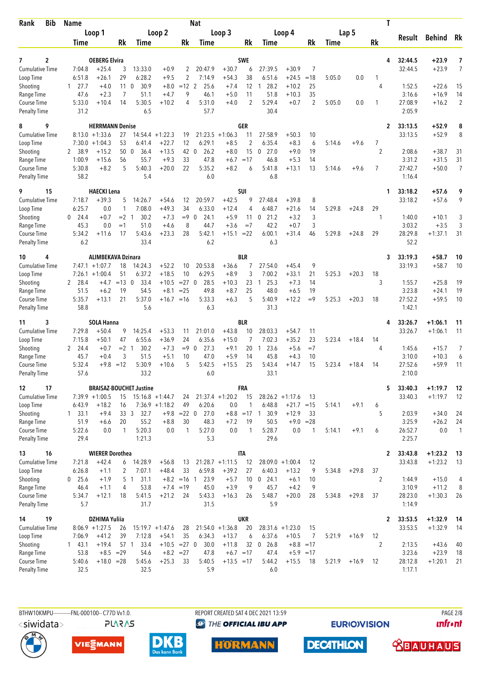| Bib<br>Rank            | <b>Name</b>                    |                           |                       |                                  |                           |                           | <b>Nat</b>               |                    |                |                               |                    |                  |        |         | T                    |                  |                    |                |
|------------------------|--------------------------------|---------------------------|-----------------------|----------------------------------|---------------------------|---------------------------|--------------------------|--------------------|----------------|-------------------------------|--------------------|------------------|--------|---------|----------------------|------------------|--------------------|----------------|
|                        |                                | Loop 1                    |                       |                                  | Loop 2                    |                           |                          | Loop 3             |                |                               | Loop 4             |                  |        | Lap 5   |                      | Result           | <b>Behind</b>      | Rk             |
|                        | <b>Time</b>                    |                           | Rk                    | <b>Time</b>                      |                           | Rk                        | Time                     |                    | Rk             | Time                          |                    | Rk               | Time   |         | Rk                   |                  |                    |                |
| 2<br>7                 |                                | <b>OEBERG Elvira</b>      |                       |                                  |                           |                           |                          |                    | <b>SWE</b>     |                               |                    |                  |        |         | 4                    | 32:44.5          | +23.9              | 7              |
| <b>Cumulative Time</b> | 7:04.8                         | $+25.4$                   | 3                     | 13:33.0                          | $+0.9$                    | 2                         | 20:47.9                  | $+30.7$            | 6              | 27:39.5                       | $+30.9$            | 7                |        |         |                      | 32:44.5          | $+23.9$            | $\overline{7}$ |
| Loop Time              | 6:51.8                         | $+26.1$<br>$+4.0$         | 29<br>11 <sub>0</sub> | 6:28.2<br>30.9                   | $+9.5$                    | $\overline{2}$<br>$=12$ 2 | 7:14.9                   | $+54.3$            | 38             | 6:51.6<br>28.2                | $+24.5$            | $=18$            | 5:05.0 | 0.0     | 1<br>4               |                  |                    |                |
| Shooting<br>Range Time | 27.7<br>$\mathbf{1}$<br>47.6   | $+2.3$                    | 7                     | 51.1                             | $+8.0$<br>$+4.7$          | 9                         | 25.6<br>46.1             | $+7.4$<br>$+5.0$   | 12<br>11       | 1<br>51.8                     | $+10.2$<br>$+10.3$ | 25<br>35         |        |         |                      | 1:52.5<br>3:16.6 | $+22.6$<br>$+16.9$ | 15<br>14       |
| Course Time            | 5:33.0                         | $+10.4$                   | 14                    | 5:30.5                           | $+10.2$                   | 4                         | 5:31.0                   | $+4.0$             | $\overline{2}$ | 5:29.4                        | $+0.7$             | $\overline{2}$   | 5:05.0 | 0.0     | 1                    | 27:08.9          | $+16.2$            | $\overline{2}$ |
| <b>Penalty Time</b>    | 31.2                           |                           |                       | 6.5                              |                           |                           | 57.7                     |                    |                | 30.4                          |                    |                  |        |         |                      | 2:05.9           |                    |                |
| 9<br>8                 |                                | <b>HERRMANN Denise</b>    |                       |                                  |                           |                           |                          |                    | GER            |                               |                    |                  |        |         | 2                    | 33:13.5          | $+52.9$            | 8              |
| <b>Cumulative Time</b> |                                | $8:13.0 +1:33.6$          | 27                    | 14:54.4                          | $+1:22.3$                 | 19                        | 21:23.5                  | $+1:06.3$          | 11             | 27:58.9                       | $+50.3$            | 10               |        |         |                      | 33:13.5          | $+52.9$            | 8              |
| Loop Time              |                                | $7:30.0 + 1:04.3$         | 53                    | 6:41.4                           | $+22.7$                   | 12                        | 6:29.1                   | $+8.5$             | 2              | 6:35.4                        | $+8.3$             | 6                | 5:14.6 | $+9.6$  | 7                    |                  |                    |                |
| Shooting<br>Range Time | 2 38.9<br>1:00.9               | $+15.2$<br>$+15.6$        | 50 0<br>56            | 36.4<br>55.7                     | $+13.5$<br>$+9.3$         | 42<br>33                  | 26.2<br>$\Omega$<br>47.8 | $+8.0$<br>$+6.7$   | 15<br>$=17$    | $\mathbf{0}$<br>27.0<br>46.8  | $+9.0$<br>$+5.3$   | 19<br>14         |        |         | $\overline{2}$       | 2:08.6<br>3:31.2 | $+38.7$<br>$+31.5$ | 31<br>31       |
| Course Time            | 5:30.8                         | $+8.2$                    | 5                     | 5:40.3                           | $+20.0$                   | 22                        | 5:35.2                   | $+8.2$             | 6              | 5:41.8                        | $+13.1$            | 13               | 5:14.6 | $+9.6$  | $\overline{7}$       | 27:42.7          | $+50.0$            | $\overline{7}$ |
| <b>Penalty Time</b>    | 58.2                           |                           |                       | 5.4                              |                           |                           | 6.0                      |                    |                | 6.8                           |                    |                  |        |         |                      | 1:16.4           |                    |                |
| 9<br>15                |                                | <b>HAECKI Lena</b>        |                       |                                  |                           |                           |                          |                    | SUI            |                               |                    |                  |        |         | 1                    | 33:18.2          | $+57.6$            | 9              |
| <b>Cumulative Time</b> | 7:18.7                         | $+39.3$                   | 5                     | 14:26.7                          | $+54.6$                   | 12                        | 20:59.7                  | $+42.5$            | 9              | 27:48.4                       | $+39.8$            | 8                |        |         |                      | 33:18.2          | $+57.6$            | 9              |
| Loop Time              | 6:25.7                         | 0.0                       | 1                     | 7:08.0                           | $+49.3$                   | 34                        | 6:33.0                   | $+12.4$            | 4              | 6:48.7                        | $+21.6$            | 14               | 5:29.8 | $+24.8$ | 29                   |                  |                    |                |
| Shooting<br>Range Time | 24.4<br>0<br>45.3              | $+0.7$<br>0.0             | $= 2 \quad 1$<br>$=1$ | 30.2<br>51.0                     | $+7.3$<br>$+4.6$          | $= 9 \ 0$<br>8            | 24.1<br>44.7             | $+5.9$<br>$+3.6$   | 11<br>$=7$     | 21.2<br>0<br>42.2             | $+3.2$<br>$+0.7$   | 3<br>3           |        |         | 1                    | 1:40.0<br>3:03.2 | $+10.1$<br>$+3.5$  | 3<br>3         |
| Course Time            | 5:34.2                         | $+11.6$                   | 17                    | 5:43.6                           | $+23.3$                   | 28                        | 5:42.1                   | $+15.1$            | $= 22$         | 6:00.1                        | $+31.4$            | 46               | 5:29.8 | $+24.8$ | 29                   | 28:29.8          | $+1:37.1$          | 31             |
| <b>Penalty Time</b>    | 6.2                            |                           |                       | 33.4                             |                           |                           | 6.2                      |                    |                | 6.3                           |                    |                  |        |         |                      | 52.2             |                    |                |
| 4<br>10                |                                | <b>ALIMBEKAVA Dzinara</b> |                       |                                  |                           |                           |                          |                    | <b>BLR</b>     |                               |                    |                  |        |         | 3                    | 33:19.3          | $+58.7$            | 10             |
| <b>Cumulative Time</b> |                                | $7:47.1 + 1:07.7$         | 18                    | 14:24.3                          | $+52.2$                   | 10                        | 20:53.8                  | +36.6              | 7              | 27:54.0                       | $+45.4$            | 9                |        |         |                      | 33:19.3          | $+58.7$            | 10             |
| Loop Time              | 7:26.1                         | $+1:00.4$                 | 51                    | 6:37.2                           | $+18.5$                   | 10                        | 6:29.5                   | $+8.9$             | 3              | 7:00.2                        | $+33.1$            | 21               | 5:25.3 | $+20.3$ | 18                   |                  |                    |                |
| Shooting<br>Range Time | 2 28.4<br>51.5                 | $+4.7$<br>$+6.2$          | $=13$ 0<br>19         | 33.4<br>54.5                     | $+10.5$<br>$+8.1$         | $= 27$ 0<br>$= 25$        | 28.5<br>49.8             | $+10.3$<br>$+8.7$  | 23<br>25       | 25.3<br>-1<br>48.0            | $+7.3$<br>$+6.5$   | 14<br>19         |        |         | 3                    | 1:55.7<br>3:23.8 | $+25.8$<br>$+24.1$ | 19<br>19       |
| Course Time            | 5:35.7                         | $+13.1$                   | 21                    | 5:37.0                           | $+16.7 = 16$              |                           | 5:33.3                   | $+6.3$             | 5              | 5:40.9                        | $+12.2$            | $=9$             | 5:25.3 | $+20.3$ | 18                   | 27:52.2          | $+59.5$            | 10             |
| <b>Penalty Time</b>    | 58.8                           |                           |                       | 5.6                              |                           |                           | 6.3                      |                    |                | 31.3                          |                    |                  |        |         |                      | 1:42.1           |                    |                |
| 3<br>11                |                                | <b>SOLA Hanna</b>         |                       |                                  |                           |                           |                          |                    | <b>BLR</b>     |                               |                    |                  |        |         | 4                    | 33:26.7          | $+1:06.1$          | 11             |
| <b>Cumulative Time</b> | 7:29.8                         | $+50.4$                   | 9                     | 14:25.4                          | $+53.3$                   | 11                        | 21:01.0                  | $+43.8$            | 10             | 28:03.3                       | $+54.7$            | 11               |        |         |                      | 33:26.7          | $+1:06.1$          | 11             |
| Loop Time              | 7:15.8                         | $+50.1$                   | 47<br>$= 2 \quad 1$   | 6:55.6                           | $+36.9$                   | 24                        | 6:35.6<br>27.3           | $+15.0$            | 7              | 7:02.3                        | $+35.2$            | 23<br>$=7$       | 5:23.4 | $+18.4$ | 14                   |                  |                    |                |
| Shooting<br>Range Time | $\mathbf{2}$<br>24.4<br>45.7   | $+0.7$<br>$+0.4$          | 3                     | 30.2<br>51.5                     | $+7.3$<br>$+5.1$          | $= 9 \ 0$<br>10           | 47.0                     | $+9.1$<br>$+5.9$   | 20<br>14       | 23.6<br>1<br>45.8             | $+5.6$<br>$+4.3$   | 10               |        |         | 4                    | 1:45.6<br>3:10.0 | $+15.7$<br>$+10.3$ | 7<br>6         |
| Course Time            | 5:32.4                         | $+9.8 = 12$               |                       | 5:30.9                           | $+10.6$                   | 5                         | 5:42.5                   | $+15.5$            | 25             | 5:43.4                        | $+14.7$            | 15               | 5:23.4 | $+18.4$ | 14                   | 27:52.6          | $+59.9$            | 11             |
| <b>Penalty Time</b>    | 57.6                           |                           |                       | 33.2                             |                           |                           | 6.0                      |                    |                | 33.1                          |                    |                  |        |         |                      | 2:10.0           |                    |                |
| 17<br>12               |                                |                           |                       | <b>BRAISAZ-BOUCHET Justine</b>   |                           |                           |                          |                    | FRA            |                               |                    |                  |        |         | 5                    | 33:40.3          | $+1:19.7$          | 12             |
| Cumulative Time        |                                | $7:39.9 +1:00.5$          | 15                    |                                  | $15:16.8 + 1:44.7$        | 24                        |                          | $21:37.4 +1:20.2$  | 15             |                               | $28:26.2 +1:17.6$  | 13               |        |         |                      | 33:40.3          | $+1:19.7$          | 12             |
| Loop Time<br>Shooting  | 6:43.9<br>$1 \quad 33.1$       | $+18.2$<br>$+9.4$         | 16<br>33 <sup>3</sup> | 32.7                             | $7:36.9 +1:18.2$          | 49<br>$+9.8$ =22 0        | 6:20.6<br>27.0           | 0.0                | 1              | 6:48.8<br>$+8.8 = 17$ 1 30.9  | $+21.7$<br>$+12.9$ | $=15$<br>33      | 5:14.1 | $+9.1$  | 6<br>5               | 2:03.9           | $+34.0$            | 24             |
| Range Time             | 51.9                           | $+6.6$                    | 20                    | 55.2                             | $+8.8$                    | 30                        | 48.3                     | $+7.2$             | 19             | 50.5                          |                    | $+9.0 = 28$      |        |         |                      | 3:25.9           | $+26.2$            | 24             |
| Course Time            | 5:22.6                         | 0.0                       | $\mathbf{1}$          | 5:20.3                           | 0.0                       | $\mathbf{1}$              | 5:27.0                   | 0.0                | $\mathbf{1}$   | 5:28.7                        | 0.0                | 1                | 5:14.1 | $+9.1$  | 6                    | 26:52.7          | 0.0                | $\overline{1}$ |
| <b>Penalty Time</b>    | 29.4                           |                           |                       | 1:21.3                           |                           |                           | 5.3                      |                    |                | 29.6                          |                    |                  |        |         |                      | 2:25.7           |                    |                |
| 16<br>13               |                                | <b>WIERER Dorothea</b>    |                       |                                  |                           |                           |                          |                    | <b>ITA</b>     |                               |                    |                  |        |         | $\mathbf{2}$         | 33:43.8          | $+1:23.2$          | - 13           |
| <b>Cumulative Time</b> | 7:21.8                         | $+42.4$                   | 6                     | 14:28.9                          | $+56.8$                   | 13                        |                          | $21:28.7 +1:11.5$  | 12             |                               | $28:09.0 +1:00.4$  | 12               |        |         |                      | 33:43.8          | $+1:23.2$          | 13             |
| Loop Time<br>Shooting  | 6:26.8<br>25.6<br>$\mathbf{0}$ | $+1.1$<br>$+1.9$          | 2                     | 7:07.1<br>5 <sub>1</sub><br>31.1 | $+48.4$                   | 33<br>$+8.2 = 16$ 1       | 6:59.8<br>23.9           | $+39.2$<br>$+5.7$  | 27<br>10       | 6:40.3<br>$\mathbf 0$<br>24.1 | $+13.2$<br>$+6.1$  | 9<br>10          | 5:34.8 | $+29.8$ | 37<br>$\overline{2}$ | 1:44.9           | $+15.0$            | 4              |
| Range Time             | 46.4                           | $+1.1$                    | 4                     | 53.8                             |                           | $+7.4 = 19$               | 45.0                     | $+3.9$             | 9              | 45.7                          | $+4.2$             | 9                |        |         |                      | 3:10.9           | $+11.2$            | 8              |
| Course Time            | 5:34.7                         | $+12.1$                   | 18                    | 5:41.5                           | $+21.2$                   | 24                        | 5:43.3                   | $+16.3$            | 26             | 5:48.7                        | $+20.0$            | 28               | 5:34.8 | $+29.8$ | 37                   | 28:23.0          | $+1:30.3$          | 26             |
| <b>Penalty Time</b>    | 5.7                            |                           |                       | 31.7                             |                           |                           | 31.5                     |                    |                | 5.9                           |                    |                  |        |         |                      | 1:14.9           |                    |                |
| 19<br>14               |                                | <b>DZHIMA Yuliia</b>      |                       |                                  |                           |                           |                          |                    | <b>UKR</b>     |                               |                    |                  |        |         | 2                    | 33:53.5          | $+1:32.9$          | - 14           |
| <b>Cumulative Time</b> |                                | $8:06.9 +1:27.5$          | 26                    |                                  | $15:19.7 + 1:47.6$        | 28                        |                          | $21:54.0 + 1:36.8$ | 20             |                               | $28:31.6 +1:23.0$  | 15               |        |         |                      | 33:53.5          | $+1:32.9$          | -14            |
| Loop Time              | 7:06.9                         | $+41.2$<br>$+19.4$        | 39<br>57 1            | 7:12.8<br>33.4                   | $+54.1$<br>$+10.5 = 27$ 0 | 35                        | 6:34.3<br>30.0           | $+13.7$<br>$+11.8$ | 6<br>32        | 6:37.6<br>$0\quad 26.8$       | $+10.5$            | 7<br>$+8.8 = 17$ | 5:21.9 | $+16.9$ | 12<br>2              | 2:13.5           | $+43.6$            |                |
| Shooting<br>Range Time | 143.1<br>53.8                  | $+8.5 = 29$               |                       | 54.6                             | $+8.2 = 27$               |                           | 47.8                     | $+6.7 = 17$        |                | 47.4                          | $+5.9 = 17$        |                  |        |         |                      | 3:23.6           | $+23.9$            | 40<br>18       |
| Course Time            | 5:40.6                         | $+18.0 = 28$              |                       | 5:45.6                           | $+25.3$                   | 33                        | 5:40.5                   | $+13.5 = 17$       |                | 5:44.2                        | $+15.5$            | 18               | 5:21.9 | $+16.9$ | 12                   | 28:12.8          | $+1:20.1$          | 21             |
| <b>Penalty Time</b>    | 32.5                           |                           |                       | 32.5                             |                           |                           | 5.9                      |                    |                | 6.0                           |                    |                  |        |         |                      | 1:17.1           |                    |                |
|                        |                                |                           |                       |                                  |                           |                           |                          |                    |                |                               |                    |                  |        |         |                      |                  |                    |                |

**PLARAS** 

BTHW10KMPU-----------FNL-000100-- C77D W1.0. REPORT CREATED SAT 4 DEC 2021 13:59 PAGE 2021 13:59 **<sup>***<sup>3</sup>THE OFFICIAL IBU APP*</sup>

**EURIOVISION** 

**unfront** 











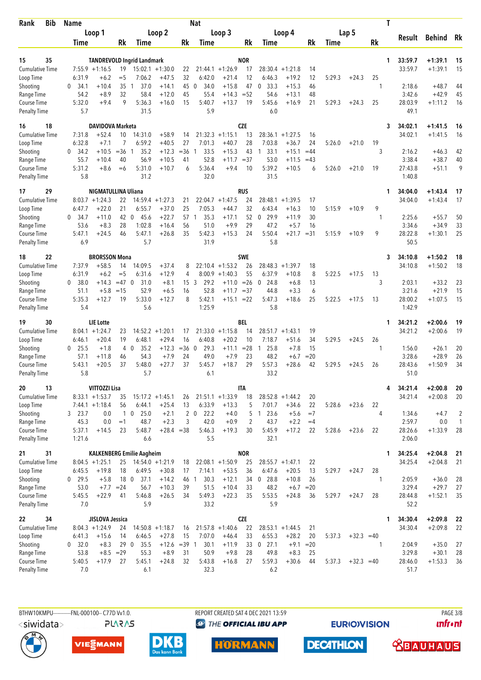| <b>Bib</b><br>Rank                  | <b>Name</b>         |                                        |                 |                                   |                               |             | <b>Nat</b>             |                                |                |                     |                               |             |             |              |         | Τ |                    |                        |              |
|-------------------------------------|---------------------|----------------------------------------|-----------------|-----------------------------------|-------------------------------|-------------|------------------------|--------------------------------|----------------|---------------------|-------------------------------|-------------|-------------|--------------|---------|---|--------------------|------------------------|--------------|
|                                     |                     | Loop 1                                 |                 |                                   | Loop 2                        |             |                        | Loop 3                         |                |                     | Loop 4                        |             |             | Lap 5        |         |   | Result             | <b>Behind</b>          | Rk           |
|                                     | Time                |                                        | Rk              | <b>Time</b>                       |                               | Rk          | Time                   |                                | Rk             | Time                |                               | Rk          | <b>Time</b> |              | Rk      |   |                    |                        |              |
| 35<br>15                            |                     |                                        |                 | <b>TANDREVOLD Ingrid Landmark</b> |                               |             |                        |                                | <b>NOR</b>     |                     |                               |             |             |              |         | 1 | 33:59.7            | $+1:39.1$              | 15           |
| <b>Cumulative Time</b>              |                     | $7:55.9 +1:16.5$                       | 19              |                                   | $15:02.1 + 1:30.0$            | 22          |                        | $21:44.1 + 1:26.9$             | 17             | 28:30.4             | $+1:21.8$                     | 14          |             |              |         |   | 33:59.7            | $+1:39.1$              | 15           |
| Loop Time                           | 6:31.9              | $+6.2$                                 | $=$ 5           | 7:06.2                            | $+47.5$                       | 32          | 6:42.0                 | $+21.4$                        | 12             | 6:46.3              | $+19.2$                       | 12          | 5:29.3      | $+24.3$      | 25      |   |                    |                        |              |
| Shooting                            | 34.1<br>0           | $+10.4$                                | 35              | 37.0<br>-1                        | $+14.1$                       | 45          | $\mathbf{0}$<br>34.0   | $+15.8$                        | 47             | 33.3<br>0           | $+15.3$                       | 46          |             |              | 1       |   | 2:18.6             | $+48.7$                | 44           |
| Range Time                          | 54.2                | $+8.9$                                 | 32              | 58.4                              | $+12.0$                       | 45          | 55.4                   | $+14.3$                        | $= 52$         | 54.6                | $+13.1$                       | 48          |             |              |         |   | 3:42.6             | $+42.9$                | 45           |
| Course Time<br><b>Penalty Time</b>  | 5:32.0<br>5.7       | $+9.4$                                 | 9               | 5:36.3<br>31.5                    | $+16.0$                       | 15          | 5:40.7<br>5.9          | $+13.7$                        | 19             | 5:45.6<br>6.0       | $+16.9$                       | 21          | 5:29.3      | $+24.3$      | 25      |   | 28:03.9<br>49.1    | $+1:11.2$              | 16           |
| 18<br>16                            |                     | <b>DAVIDOVA Marketa</b>                |                 |                                   |                               |             |                        |                                | <b>CZE</b>     |                     |                               |             |             |              |         | 3 | 34:02.1            | $+1:41.5$              | 16           |
| <b>Cumulative Time</b>              | 7:31.8              | $+52.4$                                | 10              | 14:31.0                           | $+58.9$                       | 14          | 21:32.3                | $+1:15.1$                      | 13             | 28:36.1             | $+1:27.5$                     | 16          |             |              |         |   | 34:02.1            | $+1:41.5$              | 16           |
| Loop Time                           | 6:32.8<br>34.2<br>0 | $+7.1$<br>$+10.5$                      | 7<br>$= 36$     | 6:59.2<br>35.2<br>$\mathbf{1}$    | $+40.5$<br>$+12.3$            | 27<br>$=36$ | 7:01.3<br>33.5<br>-1   | $+40.7$<br>$+15.3$             | 28<br>43       | 7:03.8<br>33.1<br>1 | $+36.7$<br>$+15.1$            | 24<br>$=44$ | 5:26.0      | $+21.0$      | 19<br>3 |   | 2:16.2             | $+46.3$                | 42           |
| Shooting<br>Range Time              | 55.7                | $+10.4$                                | 40              | 56.9                              | $+10.5$                       | 41          | 52.8                   | $+11.7$                        | $= 37$         | 53.0                | $+11.5$                       | $=43$       |             |              |         |   | 3:38.4             | $+38.7$                | 40           |
| Course Time                         | 5:31.2              | $+8.6$                                 | $=6$            | 5:31.0                            | $+10.7$                       | 6           | 5:36.4                 | $+9.4$                         | 10             | 5:39.2              | $+10.5$                       | 6           | 5:26.0      | $+21.0$      | 19      |   | 27:43.8            | $+51.1$                | 9            |
| <b>Penalty Time</b>                 | 5.8                 |                                        |                 | 31.2                              |                               |             | 32.0                   |                                |                | 31.5                |                               |             |             |              |         |   | 1:40.8             |                        |              |
| 29<br>17                            |                     | <b>NIGMATULLINA Uliana</b>             |                 |                                   |                               |             |                        |                                | RUS            |                     |                               |             |             |              |         | 1 | 34:04.0            | $+1:43.4$              | 17           |
| <b>Cumulative Time</b><br>Loop Time | 6:47.7              | $8:03.7 +1:24.3$<br>$+22.0$            | 22<br>21        | 6:55.7                            | $14:59.4 + 1:27.3$<br>$+37.0$ | 21<br>25    | 22:04.7<br>7:05.3      | $+1:47.5$<br>$+44.7$           | 24<br>32       | 28:48.1<br>6:43.4   | $+1:39.5$<br>$+16.3$          | 17<br>10    | 5:15.9      | $+10.9$      | 9       |   | 34:04.0            | $+1:43.4$              | 17           |
| Shooting                            | 0<br>34.7           | $+11.0$                                | 42              | 45.6<br>0                         | $+22.7$                       | 57          | 35.3<br>$\overline{1}$ | $+17.1$                        | 52             | 29.9<br>0           | $+11.9$                       | 30          |             |              | 1       |   | 2:25.6             | $+55.7$                | 50           |
| Range Time                          | 53.6                | $+8.3$                                 | 28              | 1:02.8                            | $+16.4$                       | 56          | 51.0                   | $+9.9$                         | 29             | 47.2                | $+5.7$                        | 16          |             |              |         |   | 3:34.6             | $+34.9$                | 33           |
| Course Time                         | 5:47.1              | $+24.5$                                | 46              | 5:47.1                            | $+26.8$                       | 35          | 5:42.3                 | $+15.3$                        | 24             | 5:50.4              | $+21.7$                       | $=31$       | 5:15.9      | $+10.9$      | 9       |   | 28:22.8            | $+1:30.1$              | 25           |
| <b>Penalty Time</b>                 | 6.9                 |                                        |                 | 5.7                               |                               |             | 31.9                   |                                |                | 5.8                 |                               |             |             |              |         |   | 50.5               |                        |              |
| 22<br>18                            |                     | <b>BRORSSON Mona</b>                   |                 |                                   |                               |             |                        |                                | <b>SWE</b>     |                     |                               |             |             |              |         | 3 | 34:10.8            | $+1:50.2$              | 18           |
| <b>Cumulative Time</b><br>Loop Time | 7:37.9<br>6:31.9    | $+58.5$<br>$+6.2$                      | 14<br>$=$ 5     | 14:09.5<br>6:31.6                 | $+37.4$<br>$+12.9$            | 8<br>4      | 8:00.9                 | $22:10.4 +1:53.2$<br>$+1:40.3$ | 26<br>55       | 28:48.3<br>6:37.9   | $+1:39.7$<br>$+10.8$          | 18<br>8     | 5:22.5      | $+17.5$      | 13      |   | 34:10.8            | $+1:50.2$              | 18           |
| Shooting                            | 38.0<br>0           | $+14.3$                                | $=47$ 0         | 31.0                              | $+8.1$                        | 15          | 3<br>29.2              | $+11.0$                        | $=26$          | 24.8<br>$\mathbf 0$ | $+6.8$                        | 13          |             |              | 3       |   | 2:03.1             | $+33.2$                | 23           |
| Range Time                          | 51.1                | $+5.8$                                 | $=15$           | 52.9                              | $+6.5$                        | 16          | 52.8                   | $+11.7$                        | $= 37$         | 44.8                | $+3.3$                        | 6           |             |              |         |   | 3:21.6             | $+21.9$                | 15           |
| Course Time                         | 5:35.3              | $+12.7$                                | 19              | 5:33.0                            | $+12.7$                       | 8           | 5:42.1                 | $+15.1 = 22$                   |                | 5:47.3              | $+18.6$                       | 25          | 5:22.5      | $+17.5$      | 13      |   | 28:00.2            | $+1:07.5$              | 15           |
| <b>Penalty Time</b>                 | 5.4                 |                                        |                 | 5.6                               |                               |             | 1:25.9                 |                                |                | 5.8                 |                               |             |             |              |         |   | 1:42.9             |                        |              |
| 30<br>19                            |                     | <b>LIE Lotte</b>                       |                 |                                   |                               |             |                        |                                | BEL            |                     |                               |             |             |              |         | 1 | 34:21.2            | $+2:00.6$              | 19           |
| Cumulative Time<br>Loop Time        | 6:46.1              | $8:04.1 + 1:24.7$<br>$+20.4$           | 23<br>19        | 6:48.1                            | $14:52.2 + 1:20.1$<br>$+29.4$ | 17<br>16    | 6:40.8                 | $21:33.0 +1:15.8$<br>$+20.2$   | 14<br>10       | 28:51.7<br>7:18.7   | $+1:43.1$<br>$+51.6$          | 19<br>34    | 5:29.5      | $+24.5$      | 26      |   | 34:21.2            | $+2:00.6$              | 19           |
| Shooting                            | 25.5<br>0           | $+1.8$                                 | 4               | $\mathbf{0}$<br>35.2              | $+12.3$                       | $=36$ 0     | 29.3                   | $+11.1$                        | $= 28$         | 25.8<br>1           | $+7.8$                        | 15          |             |              | 1       |   | 1:56.0             | $+26.1$                | 20           |
| Range Time                          | 57.1                | $+11.8$                                | 46              | 54.3                              | $+7.9$                        | 24          | 49.0                   | $+7.9$                         | 23             | 48.2                | $+6.7$                        | $= 20$      |             |              |         |   | 3:28.6             | $+28.9$                | 26           |
| Course Time                         | 5:43.1              | $+20.5$                                | 37              | 5:48.0                            | $+27.7$                       | 37          | 5:45.7                 | $+18.7$                        | 29             | 5:57.3              | $+28.6$                       | 42          | 5:29.5      | $+24.5$      | 26      |   | 28:43.6            | $+1:50.9$              | 34           |
| <b>Penalty Time</b>                 | 5.8                 |                                        |                 | 5.7                               |                               |             | 6.1                    |                                |                | 33.2                |                               |             |             |              |         |   | 51.0               |                        |              |
| 13<br>20<br><b>Cumulative Time</b>  |                     | VITTOZZI Lisa                          |                 |                                   |                               |             |                        | $21:51.1 + 1:33.9$             | <b>ITA</b>     |                     |                               |             |             |              |         | 4 | 34:21.4<br>34:21.4 | $+2:00.8$<br>$+2:00.8$ | 20           |
| Loop Time                           |                     | $8:33.1 + 1:53.7$<br>$7:44.1 + 1:18.4$ | 35<br>56        | 6:44.1                            | $15:17.2 + 1:45.1$<br>$+25.4$ | 26<br>13    | 6:33.9                 | $+13.3$                        | 18<br>5        | 7:01.7              | $28:52.8 + 1:44.2$<br>$+34.6$ | 20<br>22    | 5:28.6      | $+23.6$      | 22      |   |                    |                        | 20           |
| Shooting                            | 3 23.7              | 0.0                                    |                 | 25.0<br>10                        | $+2.1$                        |             | $2\quad0$<br>22.2      | $+4.0$                         | 5              | 123.6               | $+5.6$                        | $=7$        |             |              | 4       |   | 1:34.6             | $+4.7$                 | 2            |
| Range Time                          | 45.3                | 0.0                                    | $=1$            | 48.7                              | $+2.3$                        | 3           | 42.0                   | $+0.9$                         | $\overline{2}$ | 43.7                | $+2.2$                        | $=4$        |             |              |         |   | 2:59.7             | 0.0                    | $\mathbf{1}$ |
| Course Time                         | 5:37.1              | $+14.5$                                | 23              | 5:48.7                            | $+28.4 = 38$                  |             | 5:46.3                 | $+19.3$                        | 30             | 5:45.9              | $+17.2$                       | 22          | 5:28.6      | $+23.6$      | 22      |   | 28:26.6            | $+1:33.9$              | 28           |
| <b>Penalty Time</b>                 | 1:21.6              |                                        |                 | 6.6                               |                               |             | 5.5                    |                                |                | 32.1                |                               |             |             |              |         |   | 2:06.0             |                        |              |
| 31<br>21                            |                     |                                        |                 | <b>KALKENBERG Emilie Aagheim</b>  |                               |             |                        |                                | <b>NOR</b>     |                     |                               |             |             |              |         | 1 | 34:25.4            | $+2:04.8$              | 21           |
| Cumulative Time<br>Loop Time        | 6:45.5              | $8:04.5 +1:25.1$<br>$+19.8$            | 25<br>18        | 6:49.5                            | $14:54.0 + 1:21.9$<br>$+30.8$ | 18<br>17    | 7:14.1                 | $22:08.1 + 1:50.9$<br>$+53.5$  | 25<br>36       | 6:47.6              | $28:55.7 + 1:47.1$<br>$+20.5$ | 22<br>13    | 5:29.7      | $+24.7$      | 28      |   | 34:25.4            | $+2:04.8$              | 21           |
| Shooting                            | $0$ 29.5            | $+5.8$                                 | 18 <sub>0</sub> | 37.1                              | $+14.2$                       | 46 1        | 30.3                   | $+12.1$                        | 34             | $0$ 28.8            | $+10.8$                       | 26          |             |              | 1       |   | 2:05.9             | $+36.0$                | 28           |
| Range Time                          | 53.0                | $+7.7 = 24$                            |                 | 56.7                              | $+10.3$                       | 39          | 51.5                   | $+10.4$                        | 33             | 48.2                | $+6.7 = 20$                   |             |             |              |         |   | 3:29.4             | $+29.7$                | 27           |
| Course Time                         | 5:45.5              | $+22.9$                                | 41              | 5:46.8                            | $+26.5$                       | 34          | 5:49.3                 | $+22.3$                        | 35             | 5:53.5              | $+24.8$                       | 36          | 5:29.7      | $+24.7$      | 28      |   | 28:44.8            | $+1:52.1$              | 35           |
| <b>Penalty Time</b>                 | 7.0                 |                                        |                 | 5.9                               |                               |             | 33.2                   |                                |                | 5.9                 |                               |             |             |              |         |   | 52.2               |                        |              |
| 34<br>22                            |                     | JISLOVA Jessica                        |                 |                                   |                               |             |                        |                                | <b>CZE</b>     |                     |                               |             |             |              |         | 1 | 34:30.4            | $+2:09.8$              | 22           |
| <b>Cumulative Time</b><br>Loop Time | 6:41.3              | $8:04.3 +1:24.9$<br>$+15.6$            | 24<br>14        | 6:46.5                            | $14:50.8 + 1:18.7$<br>$+27.8$ | 16<br>15    | 7:07.0                 | $21:57.8 + 1:40.6$<br>$+46.4$  | 22<br>33       | 6:55.3              | $28:53.1 + 1:44.5$<br>$+28.2$ | 21<br>20    | 5:37.3      | $+32.3 = 40$ |         |   | 34:30.4            | $+2:09.8$              | 22           |
| Shooting                            | 0 32.0              | $+8.3$                                 | 290             | 35.5                              | $+12.6 = 39$ 1                |             | 30.1                   | $+11.9$                        | 33             | $0$ 27.1            | $+9.1$                        | $=20$       |             |              | 1       |   | 2:04.9             | $+35.0$                | 27           |
| Range Time                          | 53.8                |                                        | $+8.5 = 29$     | 55.3                              | $+8.9$                        | 31          | 50.9                   | $+9.8$                         | 28             | 49.8                | $+8.3$                        | 25          |             |              |         |   | 3:29.8             | $+30.1$                | 28           |
| Course Time                         | 5:40.5              | $+17.9$                                | 27              | 5:45.1                            | $+24.8$                       | 32          | 5:43.8                 | $+16.8$                        | 27             | 5:59.3              | $+30.6$                       | 44          | 5:37.3      | $+32.3 = 40$ |         |   | 28:46.0            | $+1:53.3$              | 36           |
| <b>Penalty Time</b>                 | 7.0                 |                                        |                 | 6.1                               |                               |             | 32.3                   |                                |                | 6.2                 |                               |             |             |              |         |   | 51.7               |                        |              |

BTHW10KMPU-----------FNL-000100-- C77D Vv1.0. <siwidata> **PLARAS**  REPORT CREATED SAT 4 DEC 2021 13:59 **<sup>***<sup>3</sup>THE OFFICIAL IBU APP*</sup>

**EURIOVISION** 

**PAGE 3/8 unfront** 







**DECATHLON HORMANN** 

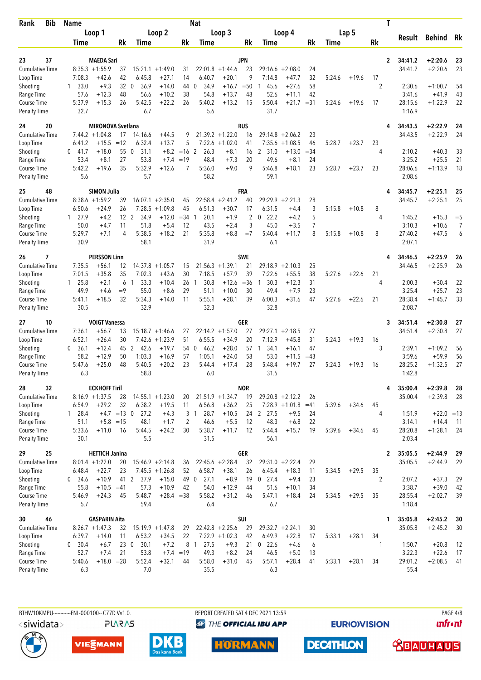| <b>Bib</b><br>Rank                        | <b>Name</b>       |                                           |                 |                                  |                                 |                  | <b>Nat</b>                     |                               |                  |                        |                              |              |        |         | T              |                    |                        |          |
|-------------------------------------------|-------------------|-------------------------------------------|-----------------|----------------------------------|---------------------------------|------------------|--------------------------------|-------------------------------|------------------|------------------------|------------------------------|--------------|--------|---------|----------------|--------------------|------------------------|----------|
|                                           |                   | Loop 1                                    |                 |                                  | Loop 2                          |                  |                                | Loop 3                        |                  |                        | Loop 4                       |              |        | Lap 5   |                | Result             | <b>Behind</b>          | Rk       |
|                                           | Time              |                                           | Rk              | Time                             |                                 | Rk               | Time                           |                               | Rk               | Time                   |                              | Rk           | Time   |         | Rk             |                    |                        |          |
| 37<br>23                                  |                   | <b>MAEDA Sari</b>                         |                 |                                  |                                 |                  |                                |                               | JPN              |                        |                              |              |        |         | $\overline{2}$ | 34:41.2            | $+2:20.6$              | 23       |
| <b>Cumulative Time</b>                    | $8:35.3 +1:55.9$  |                                           | 37              |                                  | $15:21.1 + 1:49.0$              | 31               | 22:01.8                        | $+1:44.6$                     | 23               | 29:16.6                | $+2:08.0$                    | 24           |        |         |                | 34:41.2            | $+2:20.6$              | 23       |
| Loop Time                                 | 7:08.3            | $+42.6$                                   | 42              | 6:45.8                           | $+27.1$                         | 14               | 6:40.7                         | $+20.1$                       | 9                | 7:14.8                 | $+47.7$                      | 32           | 5:24.6 | $+19.6$ | 17             |                    |                        |          |
| Shooting                                  | 33.0<br>1         | $+9.3$                                    | 32              | 36.9<br>$\mathbf{0}$             | $+14.0$                         | 44               | 34.9<br>0                      | $+16.7$                       | $=50$            | 45.6<br>1              | $+27.6$                      | 58           |        |         | 2              | 2:30.6             | $+1:00.7$              | 54       |
| Range Time                                | 57.6              | $+12.3$                                   | 48              | 56.6                             | $+10.2$                         | 38<br>26         | 54.8                           | $+13.7$                       | 48               | 52.6                   | $+11.1$                      | 42           |        |         |                | 3:41.6<br>28:15.6  | $+41.9$                | 43<br>22 |
| <b>Course Time</b><br><b>Penalty Time</b> | 5:37.9<br>32.7    | $+15.3$                                   | 26              | 5:42.5<br>6.7                    | $+22.2$                         |                  | 5:40.2<br>5.6                  | $+13.2$                       | 15               | 5:50.4<br>31.7         | $+21.7$                      | $=31$        | 5:24.6 | $+19.6$ | 17             | 1:16.9             | $+1:22.9$              |          |
| 20<br>24                                  |                   | <b>MIRONOVA Svetlana</b>                  |                 |                                  |                                 |                  |                                |                               | <b>RUS</b>       |                        |                              |              |        |         |                | 34:43.5            | $+2:22.9$              | 24       |
| Cumulative Time                           | $7:44.2 + 1:04.8$ |                                           | 17              | 14:16.6                          | $+44.5$                         | 9                |                                | $21:39.2 +1:22.0$             | 16               | 29:14.8                | $+2:06.2$                    | 23           |        |         |                | 34:43.5            | $+2:22.9$              | 24       |
| Loop Time                                 | 6:41.2            | $+15.5$                                   | $=12$<br>55     | 6:32.4<br>$\overline{0}$<br>31.1 | $+13.7$<br>$+8.2$               | 5<br>$=16$ 2     | 7:22.6<br>26.3                 | $+1:02.0$                     | 41               | 7:35.6<br>2<br>31.0    | $+1:08.5$                    | 46<br>$= 34$ | 5:28.7 | $+23.7$ | 23<br>4        | 2:10.2             | $+40.3$                |          |
| Shooting<br>Range Time                    | $0$ 41.7<br>53.4  | $+18.0$<br>$+8.1$                         | 27              | 53.8                             | $+7.4$                          | $=19$            | 48.4                           | $+8.1$<br>$+7.3$              | 16<br>20         | 49.6                   | +13.0<br>$+8.1$              | 24           |        |         |                | 3:25.2             | $+25.5$                | 33<br>21 |
| Course Time                               | 5:42.2            | $+19.6$                                   | 35              | 5:32.9                           | $+12.6$                         | 7                | 5:36.0                         | $+9.0$                        | 9                | 5:46.8                 | $+18.1$                      | 23           | 5:28.7 | $+23.7$ | 23             | 28:06.6            | $+1:13.9$              | 18       |
| <b>Penalty Time</b>                       | 5.6               |                                           |                 | 5.7                              |                                 |                  | 58.2                           |                               |                  | 59.1                   |                              |              |        |         |                | 2:08.6             |                        |          |
| 25<br>48                                  |                   | <b>SIMON Julia</b>                        |                 |                                  |                                 |                  |                                |                               | FRA              |                        |                              |              |        |         |                | 34:45.7            | $+2:25.1$              | 25       |
| <b>Cumulative Time</b><br>Loop Time       | 8:38.6<br>6:50.6  | $+1:59.2$<br>$+24.9$                      | 39<br>26        | 7:28.5                           | $16:07.1 + 2:35.0$<br>$+1:09.8$ | 45<br>45         | 6:51.3                         | $22:58.4 +2:41.2$<br>$+30.7$  | 40<br>17         | 6:31.5                 | $29:29.9 + 2:21.3$<br>$+4.4$ | 28<br>3      | 5:15.8 | $+10.8$ | 8              | 34:45.7            | $+2:25.1$              | 25       |
| Shooting                                  | 27.9<br>1         | $+4.2$                                    | 12 <sup>2</sup> | 34.9                             | $+12.0$                         | $=34$ 1          | 20.1                           | $+1.9$                        | 2                | 22.2<br>0              | $+4.2$                       | 5            |        |         | 4              | 1:45.2             | $+15.3$                | $=$ 5    |
| Range Time                                | 50.0              | $+4.7$                                    | 11              | 51.8                             | $+5.4$                          | 12               | 43.5                           | $+2.4$                        | 3                | 45.0                   | $+3.5$                       | 7            |        |         |                | 3:10.3             | $+10.6$                | 7        |
| Course Time                               | 5:29.7            | $+7.1$                                    | 4               | 5:38.5                           | $+18.2$                         | 21               | 5:35.8                         | $+8.8$                        | $=7$             | 5:40.4                 | +11.7                        | 8            | 5:15.8 | $+10.8$ | 8              | 27:40.2            | $+47.5$                | 6        |
| <b>Penalty Time</b>                       | 30.9              |                                           |                 | 58.1                             |                                 |                  | 31.9                           |                               |                  | 6.1                    |                              |              |        |         |                | 2:07.1             |                        |          |
| 7<br>26                                   |                   | <b>PERSSON Linn</b>                       |                 |                                  |                                 |                  |                                |                               | <b>SWE</b>       |                        |                              |              |        |         | 4              | 34:46.5            | $+2:25.9$              | 26       |
| <b>Cumulative Time</b><br>Loop Time       | 7:35.5<br>7:01.5  | $+56.1$<br>$+35.8$                        | 12<br>35        | 7:02.3                           | $14:37.8 + 1:05.7$<br>$+43.6$   | 15<br>30         | 7:18.5                         | $21:56.3 + 1:39.1$<br>$+57.9$ | 21<br>39         | 29:18.9<br>7:22.6      | $+2:10.3$<br>$+55.5$         | 25<br>38     | 5:27.6 | $+22.6$ | 21             | 34:46.5            | $+2:25.9$              | 26       |
| Shooting                                  | $1 \quad 25.8$    | $+2.1$                                    | 6               | 33.3<br>-1                       | $+10.4$                         | 26               | 30.8<br>-1                     | $+12.6$                       | $=36$            | 30.3<br>1              | $+12.3$                      | 31           |        |         | 4              | 2:00.3             | $+30.4$                | 22       |
| Range Time                                | 49.9              | $+4.6$                                    | $=9$            | 55.0                             | $+8.6$                          | 29               | 51.1                           | $+10.0$                       | 30               | 49.4                   | $+7.9$                       | 23           |        |         |                | 3:25.4             | $+25.7$                | 23       |
| Course Time                               | 5:41.1<br>30.5    | $+18.5$                                   | 32              | 5:34.3<br>32.9                   | $+14.0$                         | 11               | 5:55.1<br>32.3                 | $+28.1$                       | 39               | 6:00.3<br>32.8         | $+31.6$                      | 47           | 5:27.6 | $+22.6$ | 21             | 28:38.4<br>2:08.7  | $+1:45.7$              | 33       |
| <b>Penalty Time</b>                       |                   |                                           |                 |                                  |                                 |                  |                                |                               |                  |                        |                              |              |        |         |                |                    |                        |          |
| 10<br>27<br><b>Cumulative Time</b>        | 7:36.1            | <b>VOIGT Vanessa</b><br>$+56.7$           | 13              |                                  | $15:18.7 + 1:46.6$              | 27               |                                | $22:14.2 + 1:57.0$            | GER<br>27        | 29:27.1                | $+2:18.5$                    | 27           |        |         | 3              | 34:51.4<br>34:51.4 | $+2:30.8$<br>$+2:30.8$ | 27<br>27 |
| Loop Time                                 | 6:52.1            | $+26.4$                                   | 30              | 7:42.6                           | $+1:23.9$                       | 51               | 6:55.5                         | $+34.9$                       | 20               | 7:12.9                 | $+45.8$                      | 31           | 5:24.3 | $+19.3$ | 16             |                    |                        |          |
| Shooting                                  | 0<br>36.1         | $+12.4$                                   | 45              | $\overline{2}$<br>42.6           | $+19.7$                         | 54               | 46.2<br>$\mathbf 0$            | $+28.0$                       | 57               | 34.1<br>$\overline{1}$ | $+16.1$                      | 47           |        |         | 3              | 2:39.1             | $+1:09.2$              | 56       |
| Range Time                                | 58.2              | $+12.9$                                   | 50              | 1:03.3                           | $+16.9$                         | 57               | 1:05.1                         | $+24.0$                       | 58               | 53.0                   | $+11.5$                      | $=43$        |        |         |                | 3:59.6             | $+59.9$                | 56       |
| <b>Course Time</b><br><b>Penalty Time</b> | 5:47.6<br>6.3     | $+25.0$                                   | 48              | 5:40.5<br>58.8                   | $+20.2$                         | 23               | 5:44.4<br>6.0                  | $+17.4$                       | 28               | 5:48.4<br>31.5         | $+19.7$                      | 27           | 5:24.3 | $+19.3$ | 16             | 28:25.2<br>1:42.8  | $+1:32.5$              | 27       |
|                                           |                   |                                           |                 |                                  |                                 |                  |                                |                               |                  |                        |                              |              |        |         |                |                    |                        |          |
| 32<br>28<br><b>Cumulative Time</b>        |                   | <b>ECKHOFF Tiril</b><br>$8:16.9 + 1:37.5$ | 28              |                                  | $14:55.1 + 1:23.0$              | 20               |                                | $21:51.9 + 1:34.7$            | <b>NOR</b><br>19 |                        | $29:20.8 + 2:12.2$           | 26           |        |         | 4              | 35:00.4<br>35:00.4 | $+2:39.8$<br>$+2:39.8$ | 28<br>28 |
| Loop Time                                 | 6:54.9            | $+29.2$                                   | 32              | 6:38.2                           | $+19.5$                         | 11               | 6:56.8                         | $+36.2$                       | 25               |                        | $7:28.9 +1:01.8$             | $=41$        | 5:39.6 | $+34.6$ | 45             |                    |                        |          |
| Shooting                                  | 1 28.4            | $+4.7$ = 13 0                             |                 | 27.2                             | $+4.3$                          |                  | 28.7<br>3 1                    | $+10.5$                       |                  | 24 2 27.5              | $+9.5$                       | 24           |        |         | 4              | 1:51.9             | $+22.0 = 13$           |          |
| Range Time                                | 51.1              | $+5.8 = 15$                               |                 | 48.1                             | $+1.7$                          | 2                | 46.6                           | $+5.5$                        | 12               | 48.3                   | $+6.8$                       | 22           |        |         |                | 3:14.1             | $+14.4$                | - 11     |
| Course Time<br><b>Penalty Time</b>        | 5:33.6<br>30.1    | $+11.0$                                   | 16              | 5:44.5<br>5.5                    | $+24.2$                         | 30               | 5:38.7<br>31.5                 | $+11.7$                       | 12               | 5:44.4<br>56.1         | $+15.7$                      | 19           | 5:39.6 | $+34.6$ | 45             | 28:20.8<br>2:03.4  | $+1:28.1$              | -24      |
| 29<br>25                                  |                   | <b>HETTICH Janina</b>                     |                 |                                  |                                 |                  |                                |                               | <b>GER</b>       |                        |                              |              |        |         | $\mathbf{2}$   | 35:05.5            | $+2:44.9$              | 29       |
| <b>Cumulative Time</b>                    |                   | $8:01.4 +1:22.0$                          | 20              |                                  | $15:46.9 + 2:14.8$              | 36               |                                | $22:45.6 + 2:28.4$            | 32               |                        | $29:31.0 + 2:22.4$           | 29           |        |         |                | 35:05.5            | $+2:44.9$              | 29       |
| Loop Time                                 | 6:48.4            | $+22.7$                                   | 23              |                                  | $7:45.5 +1:26.8$                | 52               | 6:58.7                         | $+38.1$                       | 26               | 6:45.4                 | $+18.3$                      | 11           | 5:34.5 | $+29.5$ | 35             |                    |                        |          |
| Shooting                                  | 0, 34.6           | $+10.9$                                   | 41 2            | 37.9                             | $+15.0$                         | 49 0             | 27.1                           | $+8.9$                        | 19               | $0$ 27.4               | $+9.4$                       | 23           |        |         | $\overline{2}$ | 2:07.2             | $+37.3$                | 29       |
| Range Time<br>Course Time                 | 55.8<br>5:46.9    | $+10.5$<br>$+24.3$                        | $=41$<br>45     | 57.3<br>5:48.7                   | $+10.9$<br>$+28.4 = 38$         | 42               | 54.0<br>5:58.2                 | $+12.9$<br>$+31.2$            | 44<br>46         | 51.6<br>5:47.1         | $+10.1$<br>$+18.4$           | 34<br>24     | 5:34.5 | $+29.5$ | 35             | 3:38.7<br>28:55.4  | $+39.0$<br>$+2:02.7$   | 42<br>39 |
| <b>Penalty Time</b>                       | 5.7               |                                           |                 | 59.4                             |                                 |                  | 6.4                            |                               |                  | 6.7                    |                              |              |        |         |                | 1:18.4             |                        |          |
| 46<br>30                                  |                   | <b>GASPARIN Aita</b>                      |                 |                                  |                                 |                  |                                |                               | SUI              |                        |                              |              |        |         | 1              | 35:05.8            | $+2:45.2$              | 30       |
| <b>Cumulative Time</b>                    | $8:26.7 +1:47.3$  |                                           | 32              |                                  | $15:19.9 + 1:47.8$              | 29               |                                | $22:42.8$ +2:25.6             | 29               |                        | $29:32.7 + 2:24.1$           | 30           |        |         |                | 35:05.8            | $+2:45.2$              | 30       |
| Loop Time                                 | 6:39.7            | $+14.0$                                   | 11              | 6:53.2                           | $+34.5$                         | 22               |                                | $7:22.9$ +1:02.3              | 42               | 6:49.9                 | $+22.8$                      | 17           | 5:33.1 | $+28.1$ | 34             |                    |                        |          |
| Shooting<br>Range Time                    | 0 30.4<br>52.7    | $+6.7$<br>$+7.4$                          | 230<br>21       | 30.1<br>53.8                     | $+7.2$                          | 8<br>$+7.4 = 19$ | 27.5<br>$\overline{1}$<br>49.3 | $+9.3$<br>$+8.2$              | 21<br>24         | $0$ 22.6<br>46.5       | $+4.6$<br>$+5.0$             | 6<br>13      |        |         | 1              | 1:50.7<br>3:22.3   | $+20.8$<br>$+22.6$     | 12<br>17 |
| Course Time                               | 5:40.6            | $+18.0 = 28$                              |                 | 5:52.4                           | $+32.1$                         | 44               | 5:58.0                         | $+31.0$                       | 45               | 5:57.1                 | $+28.4$                      | 41           | 5:33.1 | $+28.1$ | 34             | 29:01.2            | $+2:08.5$              | -41      |
| <b>Penalty Time</b>                       | 6.3               |                                           |                 | 7.0                              |                                 |                  | 35.5                           |                               |                  | 6.3                    |                              |              |        |         |                | 55.4               |                        |          |
|                                           |                   |                                           |                 |                                  |                                 |                  |                                |                               |                  |                        |                              |              |        |         |                |                    |                        |          |

BTHW10KMPU-----------FNL-000100-- C77D Vv1.0. **PLARAS**  REPORT CREATED SAT 4 DEC 2021 13:59 **<sup>***<sup>3</sup>THE OFFICIAL IBU APP*</sup>

**EURIOVISION** 

PAGE 4/8 **unfront** 









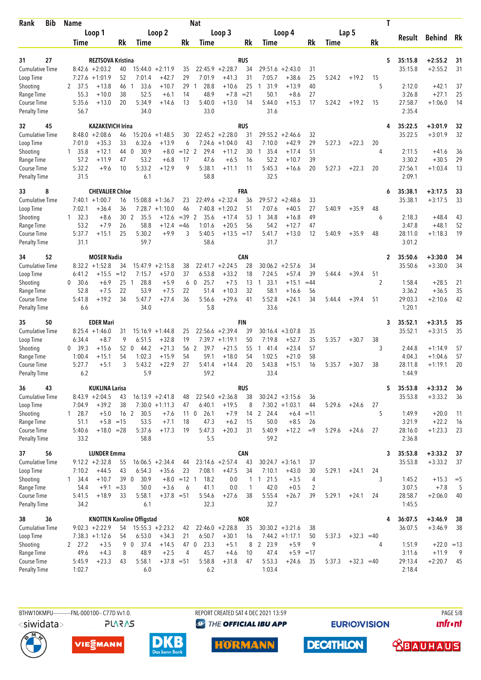| Rank                                | <b>Bib</b> | <b>Name</b>              |                                             |             |                                   |                      |                     | <b>Nat</b>                    |                      |                    |                      |                      |             |        |              |         | Τ              |                    |                        |          |
|-------------------------------------|------------|--------------------------|---------------------------------------------|-------------|-----------------------------------|----------------------|---------------------|-------------------------------|----------------------|--------------------|----------------------|----------------------|-------------|--------|--------------|---------|----------------|--------------------|------------------------|----------|
|                                     |            |                          | Loop 1                                      |             |                                   | Loop <sub>2</sub>    |                     |                               | Loop 3               |                    |                      | Loop 4               |             |        | Lap 5        |         |                |                    |                        |          |
|                                     |            | Time                     |                                             | Rk          | Time                              |                      | Rk                  | Time                          |                      | Rk                 | Time                 |                      | Rk          | Time   |              | Rk      |                | Result             | <b>Behind</b>          | Rk       |
|                                     |            |                          |                                             |             |                                   |                      |                     |                               |                      |                    |                      |                      |             |        |              |         |                |                    |                        |          |
| 31                                  | 27         |                          | <b>REZTSOVA Kristina</b>                    |             |                                   |                      |                     |                               |                      | <b>RUS</b>         |                      |                      |             |        |              |         | 5              | 35:15.8            | $+2:55.2$              | 31       |
| <b>Cumulative Time</b><br>Loop Time |            |                          | $8:42.6 + 2:03.2$<br>$7:27.6 +1:01.9$       | 40<br>52    | 15:44.0<br>7:01.4                 | $+2:11.9$<br>$+42.7$ | 35<br>29            | 22:45.9<br>7:01.9             | $+2:28.7$<br>$+41.3$ | 34<br>31           | 29:51.6<br>7:05.7    | $+2:43.0$<br>$+38.6$ | 31<br>25    | 5:24.2 | $+19.2$      | 15      |                | 35:15.8            | $+2:55.2$              | 31       |
| Shooting                            |            | 2<br>37.5                | $+13.8$                                     | 46          | 33.6<br>-1                        | $+10.7$              | 29                  | 28.8<br>1                     | $+10.6$              | 25                 | 31.9<br>1            | $+13.9$              | 40          |        |              | 5       |                | 2:12.0             | $+42.1$                | 37       |
| Range Time                          |            | 55.3                     | $+10.0$                                     | 38          | 52.5                              | $+6.1$               | 14                  | 48.9                          | $+7.8$               | $= 21$             | 50.1                 | $+8.6$               | 27          |        |              |         |                | 3:26.8             | $+27.1$                | 25       |
| Course Time                         |            | 5:35.6                   | $+13.0$                                     | 20          | 5:34.9                            | $+14.6$              | 13                  | 5:40.0                        | $+13.0$              | 14                 | 5:44.0               | $+15.3$              | 17          | 5:24.2 | $+19.2$      | 15      |                | 27:58.7            | $+1:06.0$              | 14       |
| <b>Penalty Time</b>                 |            | 56.7                     |                                             |             | 34.0                              |                      |                     | 33.0                          |                      |                    | 31.6                 |                      |             |        |              |         |                | 2:35.4             |                        |          |
| 32                                  | 45         |                          | <b>KAZAKEVICH Irina</b>                     |             |                                   |                      |                     |                               |                      | <b>RUS</b>         |                      |                      |             |        |              |         | 4              | 35:22.5            | $+3:01.9$              | 32       |
| <b>Cumulative Time</b>              |            |                          | $8:48.0 + 2:08.6$                           | 46          | 15:20.6                           | $+1:48.5$            | 30                  |                               | $22:45.2 + 2:28.0$   | 31                 | 29:55.2              | $+2:46.6$            | 32          |        |              |         |                | 35:22.5            | $+3:01.9$              | 32       |
| Loop Time                           |            | 7:01.0                   | $+35.3$                                     | 33          | 6:32.6                            | $+13.9$              | 6                   | 7:24.6                        | $+1:04.0$            | 43                 | 7:10.0               | $+42.9$              | 29          | 5:27.3 | $+22.3$      | 20      |                |                    |                        |          |
| Shooting                            |            | 1 35.8                   | $+12.1$                                     | 44          | 30.9<br>$\overline{0}$            | $+8.0$               | $=12$ 2             | 29.4                          | $+11.2$              | 30                 | 35.4<br>$\mathbf{1}$ | $+17.4$              | 51          |        |              | 4       |                | 2:11.5             | $+41.6$                | 36       |
| Range Time                          |            | 57.2                     | $+11.9$                                     | 47          | 53.2                              | $+6.8$               | 17                  | 47.6                          | $+6.5$               | 16                 | 52.2                 | $+10.7$              | 39          |        |              |         |                | 3:30.2             | $+30.5$                | 29       |
| Course Time<br><b>Penalty Time</b>  |            | 5:32.2<br>31.5           | $+9.6$                                      | 10          | 5:33.2<br>6.1                     | $+12.9$              | 9                   | 5:38.1<br>58.8                | $+11.1$              | 11                 | 5:45.3<br>32.5       | $+16.6$              | 20          | 5:27.3 | $+22.3$      | 20      |                | 27:56.1<br>2:09.1  | $+1:03.4$              | 13       |
|                                     |            |                          |                                             |             |                                   |                      |                     |                               |                      |                    |                      |                      |             |        |              |         |                |                    |                        |          |
| 8<br>33<br><b>Cumulative Time</b>   |            |                          | <b>CHEVALIER Chloe</b><br>$7:40.1 + 1:00.7$ | 16          | 15:08.8                           | $+1:36.7$            | 23                  | 22:49.6                       | $+2:32.4$            | FRA<br>36          | 29:57.2              | $+2:48.6$            | 33          |        |              |         | 6              | 35:38.1<br>35:38.1 | $+3:17.5$<br>$+3:17.5$ | 33<br>33 |
| Loop Time                           |            | 7:02.1                   | $+36.4$                                     | 36          | 7:28.7                            | $+1:10.0$            | 46                  | 7:40.8                        | $+1:20.2$            | 51                 | 7:07.6               | $+40.5$              | 27          | 5:40.9 | $+35.9$      | 48      |                |                    |                        |          |
| Shooting                            |            | $1 \quad 32.3$           | $+8.6$                                      | 30          | 2<br>35.5                         | $+12.6$              | $=39$               | 2<br>35.6                     | $+17.4$              | 53                 | 34.8<br>1            | $+16.8$              | 49          |        |              | 6       |                | 2:18.3             | $+48.4$                | 43       |
| Range Time                          |            | 53.2                     | $+7.9$                                      | 26          | 58.8                              | $+12.4$              | $=46$               | 1:01.6                        | $+20.5$              | 56                 | 54.2                 | $+12.7$              | 47          |        |              |         |                | 3:47.8             | $+48.1$                | 52       |
| Course Time                         |            | 5:37.7                   | $+15.1$                                     | 25          | 5:30.2                            | $+9.9$               | 3                   | 5:40.5                        | $+13.5 = 17$         |                    | 5:41.7               | $+13.0$              | 12          | 5:40.9 | $+35.9$      | 48      |                | 28:11.0            | $+1:18.3$              | 19       |
| <b>Penalty Time</b>                 |            | 31.1                     |                                             |             | 59.7                              |                      |                     | 58.6                          |                      |                    | 31.7                 |                      |             |        |              |         |                | 3:01.2             |                        |          |
| 34                                  | 52         |                          | <b>MOSER Nadia</b>                          |             |                                   |                      |                     |                               |                      | CAN                |                      |                      |             |        |              |         | $\overline{2}$ | 35:50.6            | $+3:30.0$              | 34       |
| <b>Cumulative Time</b>              |            |                          | $8:32.2 +1:52.8$                            | 34          | 15:47.9                           | $+2:15.8$            | 38                  |                               | $22:41.7 + 2:24.5$   | 28                 | 30:06.2              | $+2:57.6$            | 34          |        |              |         |                | 35:50.6            | $+3:30.0$              | 34       |
| Loop Time<br>Shooting               |            | 6:41.2<br>0 30.6         | $+15.5$<br>$+6.9$                           | $=12$<br>25 | 7:15.7<br>28.8<br>$\overline{1}$  | $+57.0$<br>$+5.9$    | 37<br>6             | 6:53.8<br>25.7<br>$\mathbf 0$ | $+33.2$<br>$+7.5$    | 18<br>13           | 7:24.5<br>33.1<br>1  | $+57.4$<br>$+15.1$   | 39<br>$=44$ | 5:44.4 | $+39.4$      | 51<br>2 |                | 1:58.4             | $+28.5$                | 21       |
| Range Time                          |            | 52.8                     | $+7.5$                                      | 22          | 53.9                              | $+7.5$               | 22                  | 51.4                          | $+10.3$              | 32                 | 58.1                 | $+16.6$              | 56          |        |              |         |                | 3:36.2             | $+36.5$                | 35       |
| Course Time                         |            | 5:41.8                   | $+19.2$                                     | 34          | 5:47.7                            | $+27.4$              | 36                  | 5:56.6                        | $+29.6$              | 41                 | 5:52.8               | $+24.1$              | 34          | 5:44.4 | $+39.4$      | 51      |                | 29:03.3            | $+2:10.6$              | 42       |
| <b>Penalty Time</b>                 |            | 6.6                      |                                             |             | 34.0                              |                      |                     | 5.8                           |                      |                    | 33.6                 |                      |             |        |              |         |                | 1:20.1             |                        |          |
| 35                                  | 50         |                          | <b>EDER Mari</b>                            |             |                                   |                      |                     |                               |                      | <b>FIN</b>         |                      |                      |             |        |              |         | 3              | 35:52.1            | $+3:31.5$              | 35       |
| <b>Cumulative Time</b>              |            |                          | $8:25.4 +1:46.0$                            | 31          |                                   | $15:16.9 + 1:44.8$   | 25                  |                               | $22:56.6 + 2:39.4$   | 39                 | 30:16.4              | $+3:07.8$            | 35          |        |              |         |                | 35:52.1            | $+3:31.5$              | 35       |
| Loop Time                           |            | 6:34.4                   | $+8.7$                                      | 9           | 6:51.5                            | $+32.8$              | 19                  |                               | $7:39.7 +1:19.1$     | 50                 | 7:19.8               | $+52.7$              | 35          | 5:35.7 | $+30.7$      | 38      |                |                    |                        |          |
| Shooting                            |            | 39.3<br>0                | $+15.6$                                     | 52 0        | 44.2                              | $+21.3$              | 56                  | $\overline{2}$<br>39.7        | $+21.5$              | 55                 | 141.4                | $+23.4$              | 57          |        |              | 3       |                | 2:44.8             | $+1:14.9$              | 57       |
| Range Time                          |            | 1:00.4<br>5:27.7         | $+15.1$<br>$+5.1$                           | 54<br>3     | 1:02.3<br>5:43.2                  | $+15.9$<br>$+22.9$   | 54<br>27            | 59.1<br>5:41.4                | $+18.0$              | 54<br>20           | 1:02.5<br>5:43.8     | $+21.0$<br>$+15.1$   | 58<br>16    | 5:35.7 | $+30.7$      | 38      |                | 4:04.3<br>28:11.8  | $+1:04.6$<br>$+1:19.1$ | 57<br>20 |
| Course Time<br><b>Penalty Time</b>  |            | 6.2                      |                                             |             | 5.9                               |                      |                     | 59.2                          | $+14.4$              |                    | 33.4                 |                      |             |        |              |         |                | 1:44.9             |                        |          |
|                                     |            |                          |                                             |             |                                   |                      |                     |                               |                      |                    |                      |                      |             |        |              |         |                |                    |                        |          |
| 36<br>Cumulative Time               | 43         |                          | <b>KUKLINA Larisa</b><br>$8:43.9 + 2:04.5$  | 43          |                                   | $16:13.9 + 2:41.8$   | 48                  |                               | $22:54.0 + 2:36.8$   | RUS<br>38          | $30:24.2 + 3:15.6$   |                      | 36          |        |              |         | 5              | 35:53.8<br>35:53.8 | $+3:33.2$<br>$+3:33.2$ | 36<br>36 |
| Loop Time                           |            | 7:04.9                   | $+39.2$                                     | 38          |                                   | $7:30.0 +1:11.3$     | 47                  | 6:40.1                        | $+19.5$              | 8                  | $7:30.2 +1:03.1$     |                      | 44          | 5:29.6 | $+24.6$      | 27      |                |                    |                        |          |
| Shooting                            |            | $1 \t28.7$               | $+5.0$                                      | 16 2        | 30.5                              | $+7.6$               |                     | 26.1<br>11 <sub>0</sub>       | $+7.9$               |                    | 14 2 24.4            | $+6.4 = 11$          |             |        |              | 5       |                | 1:49.9             | $+20.0$                | 11       |
| Range Time                          |            | 51.1                     | $+5.8$ = 15                                 |             | 53.5                              | $+7.1$               | 18                  | 47.3                          | $+6.2$               | 15                 | 50.0                 | $+8.5$               | 26          |        |              |         |                | 3:21.9             | $+22.2$                | 16       |
| Course Time                         |            | 5:40.6                   | $+18.0 = 28$                                |             | 5:37.6                            | $+17.3$              | 19                  | 5:47.3                        | $+20.3$              | 31                 | 5:40.9               | $+12.2$              | $=9$        | 5:29.6 | $+24.6$      | 27      |                | 28:16.0            | $+1:23.3$              | 23       |
| <b>Penalty Time</b>                 |            | 33.2                     |                                             |             | 58.8                              |                      |                     | 5.5                           |                      |                    | 59.2                 |                      |             |        |              |         |                | 2:36.8             |                        |          |
| 37                                  | 56         |                          | <b>LUNDER Emma</b>                          |             |                                   |                      |                     |                               |                      | <b>CAN</b>         |                      |                      |             |        |              |         | 3              | 35:53.8            | $+3:33.2$              | 37       |
| <b>Cumulative Time</b>              |            |                          | $9:12.2 + 2:32.8$                           | 55          |                                   | $16:06.5 + 2:34.4$   | 44                  |                               | $23:14.6 + 2:57.4$   | 43                 | $30:24.7 + 3:16.1$   |                      | 37          |        |              |         |                | 35:53.8            | $+3:33.2$              | 37       |
| Loop Time<br>Shooting               |            | 7:10.2<br>$1 \quad 34.4$ | $+44.5$<br>$+10.7$                          | 43<br>39 0  | 6:54.3<br>30.9                    | $+35.6$              | 23<br>$+8.0 = 12$ 1 | 7:08.1<br>18.2                | $+47.5$<br>0.0       | 34<br>$\mathbf{1}$ | 7:10.1<br>121.5      | $+43.0$<br>$+3.5$    | 30<br>4     | 5:29.1 | $+24.1$      | 24<br>3 |                | 1:45.2             | $+15.3$                | $=$ 5    |
| Range Time                          |            | 54.4                     | $+9.1$                                      | $= 33$      | 50.0                              | $+3.6$               | 6                   | 41.1                          | 0.0                  | 1                  | 42.0                 | $+0.5$               | 2           |        |              |         |                | 3:07.5             | $+7.8$                 | 5        |
| Course Time                         |            | 5:41.5                   | $+18.9$                                     | 33          | 5:58.1                            | $+37.8 = 51$         |                     | 5:54.6                        | $+27.6$              | 38                 | 5:55.4               | $+26.7$              | 39          | 5:29.1 | $+24.1$      | 24      |                | 28:58.7            | $+2:06.0$              | 40       |
| <b>Penalty Time</b>                 |            | 34.2                     |                                             |             | 6.1                               |                      |                     | 32.3                          |                      |                    | 32.7                 |                      |             |        |              |         |                | 1:45.5             |                        |          |
| 38                                  | 36         |                          |                                             |             | <b>KNOTTEN Karoline Offigstad</b> |                      |                     |                               |                      | <b>NOR</b>         |                      |                      |             |        |              |         | 4              | 36:07.5            | $+3:46.9$              | 38       |
| <b>Cumulative Time</b>              |            |                          | $9:02.3 +2:22.9$                            | 54          |                                   | $15:55.3 + 2:23.2$   | 42                  |                               | $22:46.0 + 2:28.8$   | 35                 | $30:30.2 + 3:21.6$   |                      | 38          |        |              |         |                | 36:07.5            | $+3:46.9$              | 38       |
| Loop Time                           |            |                          | $7:38.3 +1:12.6$                            | 54          | 6:53.0                            | $+34.3$              | 21                  | 6:50.7                        | $+30.1$              | 16                 | $7:44.2 +1:17.1$     |                      | 50          | 5:37.3 | $+32.3 = 40$ |         |                |                    |                        |          |
| Shooting                            |            | 2 27.2                   | $+3.5$                                      | 9           | $0$ 37.4                          | $+14.5$              | 47 0                | 23.3                          | $+5.1$               | 8                  | 2 23.9               | $+5.9$               | 9           |        |              | 4       |                | 1:51.9             | $+22.0 = 13$           |          |
| Range Time                          |            | 49.6                     | $+4.3$                                      | 8           | 48.9                              | $+2.5$               | $\overline{4}$      | 45.7                          | $+4.6$               | 10                 | 47.4                 | $+5.9 = 17$          |             |        |              |         |                | 3:11.6             | $+11.9$                | - 9      |
| Course Time<br><b>Penalty Time</b>  |            | 5:45.9<br>1:02.7         | $+23.3$                                     | 43          | 5:58.1<br>6.0                     | $+37.8 = 51$         |                     | 5:58.8<br>6.2                 | $+31.8$              | 47                 | 5:53.3<br>1:03.4     | $+24.6$              | 35          | 5:37.3 | $+32.3 = 40$ |         |                | 29:13.4<br>2:18.4  | $+2:20.7$              | -45      |
|                                     |            |                          |                                             |             |                                   |                      |                     |                               |                      |                    |                      |                      |             |        |              |         |                |                    |                        |          |

BTHW10KMPU-----------FNL-000100-- C77D W1.0. REPORT CREATED SAT 4 DEC 2021 13:59 PAGE 5/8

<siwidata>

**PLARAS** VIESMANN



**<sup>***<sup>3</sup>THE OFFICIAL IBU APP*</sup>

**HORMANN** 

**EURIOVISION** 

**unfront** 



**DECATHLON** 

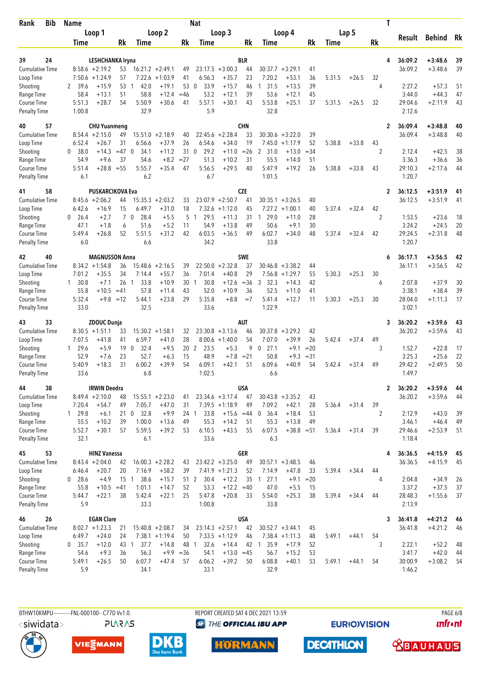| Bib<br>Rank                               | <b>Name</b>              |                                         |              |                                  |                                        |                 | <b>Nat</b>           |                         |                  |                        |                      |             |        |         | T              |                    |                        |          |
|-------------------------------------------|--------------------------|-----------------------------------------|--------------|----------------------------------|----------------------------------------|-----------------|----------------------|-------------------------|------------------|------------------------|----------------------|-------------|--------|---------|----------------|--------------------|------------------------|----------|
|                                           |                          | Loop 1                                  |              |                                  | Loop 2                                 |                 |                      | Loop 3                  |                  |                        | Loop 4               |             |        | Lap 5   |                | Result             | <b>Behind</b>          | Rk       |
|                                           | Time                     |                                         | <b>Rk</b>    | Time                             |                                        | Rk              | Time                 |                         | Rk               | Time                   |                      | Rk          | Time   |         | Rk             |                    |                        |          |
|                                           |                          |                                         |              |                                  |                                        |                 |                      |                         |                  |                        |                      |             |        |         |                |                    |                        |          |
| 39<br>24<br><b>Cumulative Time</b>        |                          | LESHCHANKA Iryna<br>$8:58.6 + 2:19.2$   | 53           |                                  |                                        | 49              | 23:17.5              | $+3:00.3$               | <b>BLR</b><br>44 | 30:37.7                | $+3:29.1$            | 41          |        |         | 4              | 36:09.2<br>36:09.2 | $+3:48.6$<br>$+3:48.6$ | 39<br>39 |
| Loop Time                                 | 7:50.6                   | $+1:24.9$                               | 57           |                                  | $16:21.2 + 2:49.1$<br>$7:22.6 +1:03.9$ | 41              | 6:56.3               | $+35.7$                 | 23               | 7:20.2                 | $+53.1$              | 36          | 5:31.5 | $+26.5$ | 32             |                    |                        |          |
| Shooting                                  | 39.6<br>2                | $+15.9$                                 | 53           | 42.0<br>-1                       | $+19.1$                                | 53              | 33.9<br>$\mathbf{0}$ | $+15.7$                 | 46               | 31.5<br>1              | $+13.5$              | 39          |        |         | 4              | 2:27.2             | $+57.3$                | 51       |
| Range Time                                | 58.4                     | $+13.1$                                 | 51           | 58.8                             | $+12.4$                                | $=46$           | 53.2                 | $+12.1$                 | 39               | 53.6                   | $+12.1$              | 45          |        |         |                | 3:44.0             | $+44.3$                | 47       |
| <b>Course Time</b>                        | 5:51.3                   | $+28.7$                                 | 54           | 5:50.9                           | $+30.6$                                | 41              | 5:57.1               | $+30.1$                 | 43               | 5:53.8                 | $+25.1$              | 37          | 5:31.5 | $+26.5$ | 32             | 29:04.6            | $+2:11.9$              | 43       |
| <b>Penalty Time</b>                       | 1:00.8                   |                                         |              | 32.9                             |                                        |                 | 5.9                  |                         |                  | 32.8                   |                      |             |        |         |                | 2:12.6             |                        |          |
| 57<br>40                                  |                          | <b>CHU Yuanmeng</b>                     |              |                                  |                                        |                 |                      |                         | <b>CHN</b>       |                        |                      |             |        |         | $\overline{2}$ | 36:09.4            | $+3:48.8$              | 40       |
| Cumulative Time                           |                          | $8:54.4 +2:15.0$                        | 49           | 15:51.0                          | $+2:18.9$                              | 40              | 22:45.6              | $+2:28.4$               | 33               | 30:30.6                | $+3:22.0$            | 39          |        |         |                | 36:09.4            | $+3:48.8$              | 40       |
| Loop Time                                 | 6:52.4                   | $+26.7$                                 | 31           | 6:56.6                           | $+37.9$                                | 26              | 6:54.6               | $+34.0$                 | 19               | 7:45.0                 | $+1:17.9$            | 52          | 5:38.8 | $+33.8$ | 43             |                    |                        |          |
| Shooting                                  | 0<br>38.0                | +14.3                                   | $=47$ 0      | 34.1                             | $+11.2$<br>$+8.2$                      | 31<br>$= 27$    | 29.2<br>$\mathbf 0$  | $+11.0$                 | $=26$            | 2<br>31.0<br>55.5      | $+13.0$              | =34         |        |         | $\overline{2}$ | 2:12.4             | $+42.5$                | 38<br>36 |
| Range Time<br>Course Time                 | 54.9<br>5:51.4           | $+9.6$<br>$+28.8$                       | 37<br>$= 55$ | 54.6<br>5:55.7                   | $+35.4$                                | 47              | 51.3<br>5:56.5       | $+10.2$<br>$+29.5$      | 31<br>40         | 5:47.9                 | $+14.0$<br>$+19.2$   | 51<br>26    | 5:38.8 | $+33.8$ | 43             | 3:36.3<br>29:10.3  | $+36.6$<br>$+2:17.6$   | 44       |
| <b>Penalty Time</b>                       | 6.1                      |                                         |              | 6.2                              |                                        |                 | 6.7                  |                         |                  | 1:01.5                 |                      |             |        |         |                | 1:20.7             |                        |          |
| 58<br>41                                  |                          | <b>PUSKARCIKOVA Eva</b>                 |              |                                  |                                        |                 |                      |                         | <b>CZE</b>       |                        |                      |             |        |         | $\mathbf{2}$   | 36:12.5            | $+3:51.9$              | 41       |
| <b>Cumulative Time</b>                    | 8:45.6                   | $+2:06.2$                               | 44           | 15:35.3                          | $+2:03.2$                              | 33              | 23:07.9              | $+2:50.7$               | 41               | 30:35.1                | $+3:26.5$            | 40          |        |         |                | 36:12.5            | $+3:51.9$              | 41       |
| Loop Time                                 | 6:42.6                   | $+16.9$                                 | 15           | 6:49.7                           | $+31.0$                                | 18              | 7:32.6               | $+1:12.0$               | 45               | 7:27.2                 | $+1:00.1$            | 40          | 5:37.4 | $+32.4$ | 42             |                    |                        |          |
| Shooting                                  | 26.4<br>0                | $+2.7$                                  |              | 70<br>28.4                       | $+5.5$                                 | 5               | 29.5<br>$\mathbf{1}$ | $+11.3$                 | 31               | 29.0<br>$\overline{1}$ | $+11.0$              | 28          |        |         | $\overline{2}$ | 1:53.5             | $+23.6$                | 18       |
| Range Time                                | 47.1                     | $+1.8$                                  | 6            | 51.6                             | $+5.2$                                 | 11              | 54.9                 | $+13.8$                 | 49               | 50.6                   | $+9.1$               | 30          |        |         |                | 3:24.2             | $+24.5$                | 20       |
| Course Time                               | 5:49.4                   | $+26.8$                                 | 52           | 5:51.5                           | $+31.2$                                | 42              | 6:03.5               | $+36.5$                 | 49               | 6:02.7                 | $+34.0$              | 48          | 5:37.4 | $+32.4$ | 42             | 29:24.5            | $+2:31.8$              | 48       |
| <b>Penalty Time</b>                       | 6.0                      |                                         |              | 6.6                              |                                        |                 | 34.2                 |                         |                  | 33.8                   |                      |             |        |         |                | 1:20.7             |                        |          |
| 40<br>42                                  |                          | <b>MAGNUSSON Anna</b>                   |              |                                  |                                        |                 |                      |                         | <b>SWE</b>       |                        |                      |             |        |         | 6              | 36:17.1            | $+3:56.5$              | 42       |
| <b>Cumulative Time</b>                    |                          | $8:34.2 +1:54.8$                        | 36           |                                  | $15:48.6 + 2:16.5$                     | 39              |                      | $22:50.0 + 2:32.8$      | 37               |                        | $30:46.8 + 3:38.2$   | 44          |        |         |                | 36:17.1            | $+3:56.5$              | 42       |
| Loop Time<br>Shooting                     | 7:01.2<br>$1 \quad 30.8$ | $+35.5$<br>$+7.1$                       | 34<br>26     | 7:14.4<br>33.8<br>-1             | $+55.7$<br>$+10.9$                     | 36<br>30        | 7:01.4<br>30.8<br>-1 | $+40.8$<br>$+12.6$      | 29<br>$=36$      | 7:56.8<br>3<br>32.3    | $+1:29.7$<br>$+14.3$ | 55<br>42    | 5:30.3 | $+25.3$ | 30<br>6        | 2:07.8             | $+37.9$                | 30       |
| Range Time                                | 55.8                     | $+10.5$                                 | $=41$        | 57.8                             | $+11.4$                                | 43              | 52.0                 | $+10.9$                 | 36               | 52.5                   | $+11.0$              | 41          |        |         |                | 3:38.1             | $+38.4$                | 39       |
| Course Time                               | 5:32.4                   |                                         | $+9.8 = 12$  | 5:44.1                           | $+23.8$                                | 29              | 5:35.8               | $+8.8$                  | $=7$             | 5:41.4                 | $+12.7$              | 11          | 5:30.3 | $+25.3$ | 30             | 28:04.0            | $+1:11.3$              | 17       |
| <b>Penalty Time</b>                       | 33.0                     |                                         |              | 32.5                             |                                        |                 | 33.6                 |                         |                  | 1:22.9                 |                      |             |        |         |                | 3:02.1             |                        |          |
| 33<br>43                                  |                          | ZDOUC Dunja                             |              |                                  |                                        |                 |                      |                         | AUT              |                        |                      |             |        |         | 3              | 36:20.2            | $+3:59.6$              | 43       |
| Cumulative Time                           |                          | $8:30.5 +1:51.1$                        | 33           |                                  | $15:30.2 +1:58.1$                      | 32              |                      | $23:30.8 + 3:13.6$      | 46               | 30:37.8                | $+3:29.2$            | 42          |        |         |                | 36:20.2            | $+3:59.6$              | 43       |
| Loop Time                                 | 7:07.5                   | $+41.8$                                 | 41           | 6:59.7                           | $+41.0$                                | 28              | 8:00.6               | $+1:40.0$               | 54               | 7:07.0                 | $+39.9$              | 26          | 5:42.4 | $+37.4$ | 49             |                    |                        |          |
| Shooting                                  | 29.6<br>1                | $+5.9$                                  | 19           | $\mathbf 0$<br>32.4              | $+9.5$                                 | 20 <sub>2</sub> | 23.5                 | $+5.3$                  | 9                | 0<br>27.1              | $+9.1$               | $= 20$      |        |         | 3              | 1:52.7             | $+22.8$                | 17       |
| Range Time                                | 52.9                     | $+7.6$                                  | 23           | 52.7                             | $+6.3$                                 | 15              | 48.9                 | $+7.8$                  | $= 21$           | 50.8                   | $+9.3$               | $= 31$      |        |         |                | 3:25.3             | $+25.6$                | 22       |
| <b>Course Time</b><br><b>Penalty Time</b> | 5:40.9<br>33.6           | $+18.3$                                 | 31           | 6:00.2<br>6.8                    | $+39.9$                                | 54              | 6:09.1<br>1:02.5     | $+42.1$                 | 51               | 6:09.6<br>6.6          | $+40.9$              | 54          | 5:42.4 | $+37.4$ | 49             | 29:42.2<br>1:49.7  | $+2:49.5$              | 50       |
|                                           |                          |                                         |              |                                  |                                        |                 |                      |                         |                  |                        |                      |             |        |         |                |                    |                        |          |
| 38<br>44<br>Cumulative Time               |                          | <b>IRWIN Deedra</b><br>$8:49.4 +2:10.0$ | 48           |                                  | $15:55.1 + 2:23.0$                     | 41              |                      | $23:34.6 + 3:17.4$      | <b>USA</b><br>47 |                        | $30:43.8 + 3:35.2$   | 43          |        |         | $\overline{2}$ | 36:20.2<br>36:20.2 | $+3:59.6$<br>$+3:59.6$ | 44<br>44 |
| Loop Time                                 | 7:20.4                   | $+54.7$                                 | 49           | 7:05.7                           | $+47.0$                                | 31              |                      | $7:39.5 +1:18.9$        | 49               | 7:09.2                 | $+42.1$              | 28          | 5:36.4 | $+31.4$ | 39             |                    |                        |          |
| Shooting                                  | 1 29.8                   | $+6.1$                                  |              | 21 0 32.8                        | $+9.9$                                 |                 | 33.8<br>24 1         | $+15.6 = 44$            |                  | 36.4<br>0              | $+18.4$              | 53          |        |         | $\overline{2}$ | 2:12.9             | $+43.0$                | 39       |
| Range Time                                | 55.5                     | $+10.2$                                 | 39           | 1:00.0                           | $+13.6$                                | 49              | 55.3                 | $+14.2$                 | -51              | 55.3                   | $+13.8$              | 49          |        |         |                | 3:46.1             | $+46.4$                | 49       |
| Course Time                               | 5:52.7                   | $+30.1$                                 | 57           | 5:59.5                           | $+39.2$                                | 53              | 6:10.5               | $+43.5$                 | 55               | 6:07.5                 | $+38.8 = 51$         |             | 5:36.4 | $+31.4$ | 39             | 29:46.6            | $+2:53.9$              | 51       |
| <b>Penalty Time</b>                       | 32.1                     |                                         |              | 6.1                              |                                        |                 | 33.6                 |                         |                  | 6.3                    |                      |             |        |         |                | 1:18.4             |                        |          |
| 53<br>45                                  |                          | <b>HINZ Vanessa</b>                     |              |                                  |                                        |                 |                      |                         | <b>GER</b>       |                        |                      |             |        |         | 4              | 36:36.5            | $+4:15.9$              | 45       |
| <b>Cumulative Time</b>                    |                          | $8:43.4 + 2:04.0$                       | 42           |                                  | $16:00.3 + 2:28.2$                     | 43              |                      | $23:42.2 + 3:25.0$      | 49               |                        | $30:57.1 + 3:48.5$   | 46          |        |         |                | 36:36.5            | $+4:15.9$              | 45       |
| Loop Time                                 | 6:46.4                   | $+20.7$                                 | 20           | 7:16.9                           | $+58.2$                                | 39              |                      | $7:41.9 +1:21.3$        | 52               | 7:14.9                 | $+47.8$              | 33          | 5:39.4 | $+34.4$ | 44             |                    |                        |          |
| Shooting<br>Range Time                    | $0$ 28.6<br>55.8         | $+4.9$<br>$+10.5$                       | 15<br>$=41$  | 38.6<br>$\overline{1}$<br>1:01.1 | $+15.7$<br>$+14.7$                     | 51 2<br>52      | 30.4<br>53.3         | $+12.2$<br>$+12.2 = 40$ | 35               | 27.1<br>-1<br>47.0     | $+9.1$<br>$+5.5$     | $=20$<br>15 |        |         | 4              | 2:04.8<br>3:37.2   | $+34.9$<br>$+37.5$     | 26<br>37 |
| Course Time                               | 5:44.7                   | $+22.1$                                 | 38           | 5:42.4                           | $+22.1$                                | 25              | 5:47.8               | $+20.8$                 | 33               | 5:54.0                 | $+25.3$              | 38          | 5:39.4 | $+34.4$ | 44             | 28:48.3            | $+1:55.6$              | 37       |
| <b>Penalty Time</b>                       | 5.9                      |                                         |              | 33.3                             |                                        |                 | 1:00.8               |                         |                  | 33.8                   |                      |             |        |         |                | 2:13.9             |                        |          |
| 26<br>46                                  |                          | <b>EGAN Clare</b>                       |              |                                  |                                        |                 |                      |                         | <b>USA</b>       |                        |                      |             |        |         | 3              | 36:41.8            | $+4:21.2$              | 46       |
| <b>Cumulative Time</b>                    |                          | $8:02.7 +1:23.3$                        | 21           |                                  | $15:40.8 + 2:08.7$                     | 34              |                      | $23:14.3 + 2:57.1$      | 42               |                        | $30:52.7 + 3:44.1$   | 45          |        |         |                | 36:41.8            | $+4:21.2$              | 46       |
| Loop Time                                 | 6:49.7                   | $+24.0$                                 | 24           |                                  | $7:38.1 + 1:19.4$                      | 50              |                      | $7:33.5 +1:12.9$        | 46               |                        | $7:38.4 +1:11.3$     | 48          | 5:49.1 | $+44.1$ | 54             |                    |                        |          |
| Shooting                                  | $0$ 35.7                 | $+12.0$                                 | 43 1         | 37.7                             | $+14.8$                                | 48 1            | 32.6                 | $+14.4$                 | 42               | 1 35.9                 | $+17.9$              | 52          |        |         | 3              | 2:22.1             | $+52.2$                | 48       |
| Range Time                                | 54.6                     | $+9.3$                                  | 36           | 56.3                             | $+9.9 = 36$                            |                 | 54.1                 | $+13.0 = 45$            |                  | 56.7                   | $+15.2$              | 53          |        |         |                | 3:41.7             | $+42.0$                | 44       |
| Course Time<br><b>Penalty Time</b>        | 5:49.1<br>5.9            | $+26.5$                                 | 50           | 6:07.7<br>34.1                   | $+47.4$                                | 57              | 6:06.2<br>33.1       | $+39.2$                 | 50               | 6:08.8<br>32.9         | $+40.1$              | 53          | 5:49.1 | $+44.1$ | 54             | 30:00.9<br>1:46.2  | $+3:08.2$              | 54       |
|                                           |                          |                                         |              |                                  |                                        |                 |                      |                         |                  |                        |                      |             |        |         |                |                    |                        |          |

**PLARAS** 

BTHW10KMPU-----------FNL-000100-- C77D W1.0. REPORT CREATED SAT 4 DEC 2021 13:59 PAGE 6/8

**<sup>***<sup>3</sup>THE OFFICIAL IBU APP*</sup>

**HORMANN** 

**EURIOVISION** 

**DECATHLON** 

**unfront** 

 **<u>CBAUHAUS</u>** 





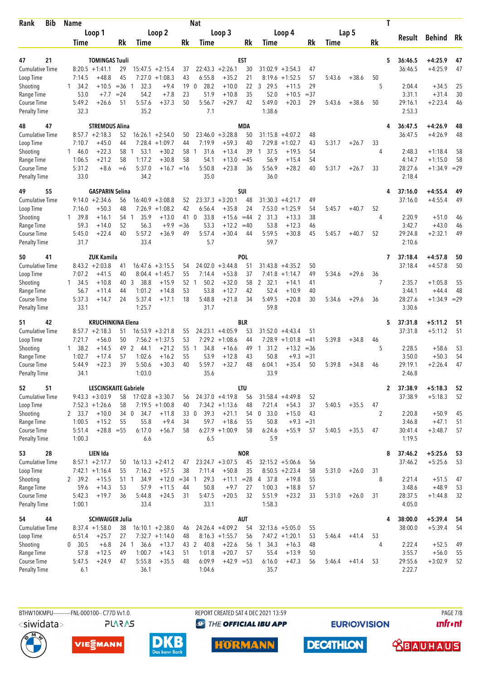| <b>Bib</b><br>Rank                 | <b>Name</b>    |                             |          |                  |                                 |              | <b>Nat</b>          |                               |             |                        |                        |              |        |         | Τ              |                   |                      |          |
|------------------------------------|----------------|-----------------------------|----------|------------------|---------------------------------|--------------|---------------------|-------------------------------|-------------|------------------------|------------------------|--------------|--------|---------|----------------|-------------------|----------------------|----------|
|                                    |                | Loop 1                      |          |                  | Loop 2                          |              |                     | Loop 3                        |             |                        | Loop 4                 |              |        | Lap 5   |                |                   |                      |          |
|                                    | Time           |                             | Rk       | Time             |                                 | Rk           | Time                |                               | Rk          | Time                   |                        | Rk           | Time   |         | Rk             | Result            | Behind               | Rk       |
|                                    |                |                             |          |                  |                                 |              |                     |                               |             |                        |                        |              |        |         |                |                   |                      |          |
| 21<br>47                           |                | <b>TOMINGAS Tuuli</b>       |          |                  |                                 |              |                     |                               | EST         |                        |                        |              |        |         | 5              | 36:46.5           | $+4:25.9$            | 47       |
| <b>Cumulative Time</b>             | 7:14.5         | $8:20.5 +1:41.1$<br>$+48.8$ | 29<br>45 | 7:27.0           | $15:47.5 + 2:15.4$<br>$+1:08.3$ | 37<br>43     | 6:55.8              | $22:43.3 + 2:26.1$<br>$+35.2$ | 30<br>21    | 31:02.9<br>8:19.6      | $+3:54.3$<br>$+1:52.5$ | 47<br>57     | 5:43.6 | $+38.6$ | 50             | 36:46.5           | $+4:25.9$            | 47       |
| Loop Time<br>Shooting              | 34.2<br>1.     | $+10.5$                     | $= 36$   | 32.3             | $+9.4$                          | 19           | 28.2<br>0           | $+10.0$                       | 22          | 3 29.5                 | $+11.5$                | 29           |        |         | 5              | 2:04.4            | $+34.5$              | 25       |
| Range Time                         | 53.0           | $+7.7$                      | $= 24$   | 54.2             | $+7.8$                          | 23           | 51.9                | $+10.8$                       | 35          | 52.0                   | $+10.5$                | $=37$        |        |         |                | 3:31.1            | $+31.4$              | 30       |
| Course Time                        | 5:49.2         | $+26.6$                     | 51       | 5:57.6           | $+37.3$                         | 50           | 5:56.7              | $+29.7$                       | 42          | 5:49.0                 | $+20.3$                | 29           | 5:43.6 | $+38.6$ | 50             | 29:16.1           | $+2:23.4$            | 46       |
| <b>Penalty Time</b>                | 32.3           |                             |          | 35.2             |                                 |              | 7.1                 |                               |             | 1:38.6                 |                        |              |        |         |                | 2:53.3            |                      |          |
| 47<br>48                           |                | <b>STREMOUS Alina</b>       |          |                  |                                 |              |                     |                               | MDA         |                        |                        |              |        |         | 4              | 36:47.5           | $+4:26.9$            | 48       |
| <b>Cumulative Time</b>             |                | $8:57.7 + 2:18.3$           | 52       |                  | $16:26.1 + 2:54.0$              | 50           |                     | $23:46.0 + 3:28.8$            | 50          |                        | $31:15.8 + 4:07.2$     | 48           |        |         |                | 36:47.5           | $+4:26.9$            | 48       |
| Loop Time                          | 7:10.7         | $+45.0$                     | 44       | 7:28.4           | $+1:09.7$                       | 44           | 7:19.9              | $+59.3$                       | 40          | 7:29.8                 | $+1:02.7$              | 43           | 5:31.7 | $+26.7$ | 33             |                   |                      |          |
| Shooting                           | 146.0          | $+22.3$                     | 58       | 53.1<br>1        | $+30.2$                         | 58           | 31.6<br>1           | $+13.4$                       | 39          | 37.5<br>-1             | $+19.5$                | 54           |        |         | 4              | 2:48.3            | $+1:18.4$            | 58       |
| Range Time                         | 1:06.5         | $+21.2$                     | 58       | 1:17.2           | $+30.8$                         | 58           | 54.1                | $+13.0$                       | $=45$       | 56.9                   | $+15.4$                | 54           |        |         |                | 4:14.7            | $+1:15.0$            | 58       |
| Course Time                        | 5:31.2         | $+8.6$                      | $=6$     | 5:37.0           | $+16.7 = 16$                    |              | 5:50.8              | $+23.8$                       | 36          | 5:56.9                 | $+28.2$                | 40           | 5:31.7 | $+26.7$ | 33             | 28:27.6           | $+1:34.9$ = 29       |          |
| <b>Penalty Time</b>                | 33.0           |                             |          | 34.2             |                                 |              | 35.0                |                               |             | 36.0                   |                        |              |        |         |                | 2:18.4            |                      |          |
| 55<br>49                           |                | <b>GASPARIN Selina</b>      |          |                  |                                 |              |                     |                               | SUI         |                        |                        |              |        |         | 4              | 37:16.0           | $+4:55.4$            | 49       |
| <b>Cumulative Time</b>             |                | $9:14.0 + 2:34.6$           | 56       |                  | $16:40.9 + 3:08.8$              | 52           | 23:37.3             | $+3:20.1$                     | 48          | 31:30.3                | $+4:21.7$              | 49           |        |         |                | 37:16.0           | $+4:55.4$            | 49       |
| Loop Time                          | 7:16.0         | $+50.3$                     | 48       | 7:26.9           | $+1:08.2$                       | 42           | 6:56.4              | $+35.8$                       | 24          | 7:53.0                 | $+1:25.9$              | 54           | 5:45.7 | $+40.7$ | 52             |                   |                      |          |
| Shooting                           | 1 39.8         | $+16.1$                     | 54 1     | 35.9             | $+13.0$                         | 41<br>$= 36$ | $\mathbf 0$<br>33.8 | $+15.6$                       | $=44$       | 2 31.3                 | $+13.3$                | 38           |        |         | 4              | 2:20.9            | $+51.0$              | 46       |
| Range Time<br>Course Time          | 59.3<br>5:45.0 | $+14.0$<br>$+22.4$          | 52<br>40 | 56.3<br>5:57.2   | $+9.9$<br>$+36.9$               | 49           | 53.3<br>5:57.4      | $+12.2$<br>$+30.4$            | $=40$<br>44 | 53.8<br>5:59.5         | $+12.3$<br>$+30.8$     | 46<br>45     | 5:45.7 | $+40.7$ | 52             | 3:42.7<br>29:24.8 | $+43.0$<br>$+2:32.1$ | 46<br>49 |
| <b>Penalty Time</b>                | 31.7           |                             |          | 33.4             |                                 |              | 5.7                 |                               |             | 59.7                   |                        |              |        |         |                | 2:10.6            |                      |          |
| 41<br>50                           |                | <b>ZUK Kamila</b>           |          |                  |                                 |              |                     |                               | POL         |                        |                        |              |        |         | 7              | 37:18.4           | $+4:57.8$            | 50       |
| <b>Cumulative Time</b>             |                | $8:43.2 +2:03.8$            | 41       |                  | $16:47.6 + 3:15.5$              | 54           |                     | $24:02.0 + 3:44.8$            | 51          |                        | $31:43.8 + 4:35.2$     | 50           |        |         |                | 37:18.4           | $+4:57.8$            | 50       |
| Loop Time                          | 7:07.2         | $+41.5$                     | 40       |                  | $8:04.4 +1:45.7$                | 55           | 7:14.4              | $+53.8$                       | 37          | 7:41.8                 | $+1:14.7$              | 49           | 5:34.6 | $+29.6$ | 36             |                   |                      |          |
| Shooting                           | 1 34.5         | $+10.8$                     | 40       | 3<br>38.8        | $+15.9$                         | 52           | 50.2<br>1           | $+32.0$                       | 58          | $\overline{2}$<br>32.1 | $+14.1$                | 41           |        |         | 7              | 2:35.7            | $+1:05.8$            | 55       |
| Range Time                         | 56.7           | $+11.4$                     | 44       | 1:01.2           | $+14.8$                         | 53           | 53.8                | $+12.7$                       | 42          | 52.4                   | $+10.9$                | 40           |        |         |                | 3:44.1            | $+44.4$              | 48       |
| Course Time                        | 5:37.3         | $+14.7$                     | 24       | 5:37.4           | $+17.1$                         | 18           | 5:48.8              | $+21.8$                       | 34          | 5:49.5                 | $+20.8$                | 30           | 5:34.6 | $+29.6$ | 36             | 28:27.6           | $+1:34.9$ = 29       |          |
| <b>Penalty Time</b>                | 33.1           |                             |          | 1:25.7           |                                 |              | 31.7                |                               |             | 59.8                   |                        |              |        |         |                | 3:30.6            |                      |          |
| 42<br>51                           |                | <b>KRUCHINKINA Elena</b>    |          |                  |                                 |              |                     |                               | BLR         |                        |                        |              |        |         | 5              | 37:31.8           | $+5:11.2$            | 51       |
| <b>Cumulative Time</b>             |                | $8:57.7 + 2:18.3$           | 51       |                  | $16:53.9 + 3:21.8$              | 55           |                     | $24:23.1 +4:05.9$             | 53          | 31:52.0                | $+4:43.4$              | 51           |        |         |                | 37:31.8           | $+5:11.2$            | 51       |
| Loop Time                          | 7:21.7         | $+56.0$                     | 50       |                  | $7:56.2 +1:37.5$                | 53           |                     | $7:29.2 +1:08.6$              | 44          |                        | $7:28.9 +1:01.8$       | $=41$        | 5:39.8 | $+34.8$ | 46             |                   |                      |          |
| Shooting                           | 1, 38.2        | $+14.5$                     | 49       | 2<br>44.1        | $+21.2$                         | 55 1         | 34.8                | $+16.6$                       | 49          | $1 \quad 31.2$         | $+13.2$                | $=36$        |        |         | 5              | 2:28.5            | $+58.6$              | 53       |
| Range Time                         | 1:02.7         | $+17.4$                     | 57<br>39 | 1:02.6           | $+16.2$                         | 55<br>40     | 53.9                | $+12.8$                       | 43<br>48    | 50.8<br>6:04.1         | $+9.3$                 | $= 31$<br>50 |        |         |                | 3:50.0<br>29:19.1 | $+50.3$              | 54<br>47 |
| Course Time<br><b>Penalty Time</b> | 5:44.9<br>34.1 | $+22.3$                     |          | 5:50.6<br>1:03.0 | $+30.3$                         |              | 5:59.7<br>35.6      | $+32.7$                       |             | 33.9                   | $+35.4$                |              | 5:39.8 | $+34.8$ | 46             | 2:46.8            | $+2:26.4$            |          |
| 51<br>52                           |                | LESCINSKAITE Gabriele       |          |                  |                                 |              |                     |                               | <b>LTU</b>  |                        |                        |              |        |         | $\mathbf{2}$   | 37:38.9           | $+5:18.3$            | 52       |
| <b>Cumulative Time</b>             |                | $9:43.3 +3:03.9$            | 58       |                  | $17:02.8 + 3:30.7$              | 56           |                     | $24:37.0 +4:19.8$             | 56          |                        | $31:58.4 +4:49.8$      | 52           |        |         |                | 37:38.9           | $+5:18.3$            | 52       |
| Loop Time                          |                | $7:52.3 +1:26.6$            | 58       |                  | $7:19.5 +1:00.8$                | 40           |                     | $7:34.2 +1:13.6$              | 48          | 7:21.4                 | $+54.3$                | 37           | 5:40.5 | $+35.5$ | 47             |                   |                      |          |
| Shooting                           | 2 33.7         | $+10.0$                     | 34 0     | 34.7             | $+11.8$                         |              | 39.3<br>33 0        | $+21.1$                       | 54          | 0, 33.0                | $+15.0$                | 43           |        |         | $\overline{2}$ | 2:20.8            | $+50.9$              | 45       |
| Range Time                         | 1:00.5         | $+15.2$                     | 55       | 55.8             | $+9.4$                          | 34           | 59.7                | $+18.6$                       | 55          | 50.8                   | $+9.3 = 31$            |              |        |         |                | 3:46.8            | $+47.1$              | 51       |
| Course Time                        | 5:51.4         | $+28.8 = 55$                |          | 6:17.0           | $+56.7$                         | 58           |                     | $6:27.9 +1:00.9$              | 58          | 6:24.6                 | $+55.9$                | 57           | 5:40.5 | $+35.5$ | 47             | 30:41.4           | $+3:48.7$            | 57       |
| <b>Penalty Time</b>                | 1:00.3         |                             |          | 6.6              |                                 |              | 6.5                 |                               |             | 5.9                    |                        |              |        |         |                | 1:19.5            |                      |          |
| 28<br>53                           |                | LIEN Ida                    |          |                  |                                 |              |                     |                               | <b>NOR</b>  |                        |                        |              |        |         | 8              | 37:46.2           | $+5:25.6$            | 53       |
| <b>Cumulative Time</b>             |                | $8:57.1 + 2:17.7$           | 50       |                  | $16:13.3 + 2:41.2$              | 47           |                     | $23:24.7 + 3:07.5$            | 45          | $32:15.2 + 5:06.6$     |                        | 56           |        |         |                | 37:46.2           | $+5:25.6$            | 53       |
| Loop Time                          |                | $7:42.1 +1:16.4$            | 55       | 7:16.2           | $+57.5$                         | 38           | 7:11.4              | $+50.8$                       | 35          |                        | $8:50.5 +2:23.4$       | 58           | 5:31.0 | $+26.0$ | 31             |                   |                      |          |
| Shooting                           | 2 39.2         | $+15.5$                     | 51 1     | 34.9             | $+12.0 = 34$ 1                  |              | 29.3                | $+11.1 = 28$                  |             | 4 37.8                 | $+19.8$                | 55           |        |         | 8              | 2:21.4            | $+51.5$              | 47       |
| Range Time<br>Course Time          | 59.6<br>5:42.3 | $+14.3$<br>$+19.7$          | 53<br>36 | 57.9<br>5:44.8   | $+11.5$<br>$+24.5$              | 44<br>31     | 50.8<br>5:47.5      | $+9.7$<br>$+20.5$             | 27<br>32    | 1:00.3<br>5:51.9       | $+18.8$<br>$+23.2$     | 57<br>33     | 5:31.0 | $+26.0$ | 31             | 3:48.6<br>28:37.5 | $+48.9$<br>$+1:44.8$ | 53<br>32 |
| <b>Penalty Time</b>                | 1:00.1         |                             |          | 33.4             |                                 |              | 33.1                |                               |             | 1:58.3                 |                        |              |        |         |                | 4:05.0            |                      |          |
| 44<br>54                           |                | <b>SCHWAIGER Julia</b>      |          |                  |                                 |              |                     |                               | <b>AUT</b>  |                        |                        |              |        |         | 4              | 38:00.0           | $+5:39.4$            | - 54     |
| <b>Cumulative Time</b>             |                | $8:37.4 +1:58.0$            | 38       |                  | $16:10.1 + 2:38.0$              | 46           |                     | $24:26.4 +4:09.2$             | 54          |                        | $32:13.6 + 5:05.0$     | 55           |        |         |                | 38:00.0           | $+5:39.4$            | 54       |
| Loop Time                          | 6:51.4         | $+25.7$                     | 27       |                  | $7:32.7 +1:14.0$                | 48           |                     | $8:16.3 +1:55.7$              | 56          |                        | $7:47.2 +1:20.1$       | 53           | 5:46.4 | $+41.4$ | 53             |                   |                      |          |
| Shooting                           | 0, 30.5        | $+6.8$                      | 24 1     | 36.6             | $+13.7$                         |              | 43 2<br>40.8        | $+22.6$                       |             | 56 1 34.3              | $+16.3$                | 48           |        |         | 4              | 2:22.4            | $+52.5$              | 49       |
| Range Time                         | 57.8           | $+12.5$                     | 49       | 1:00.7           | $+14.3$                         | 51           | 1:01.8              | $+20.7$                       | 57          | 55.4                   | $+13.9$                | 50           |        |         |                | 3:55.7            | $+56.0$              | 55       |
| Course Time                        | 5:47.5         | $+24.9$                     | 47       | 5:55.8           | $+35.5$                         | 48           | 6:09.9              | $+42.9 = 53$                  |             | 6:16.0                 | $+47.3$                | 56           | 5:46.4 | $+41.4$ | 53             | 29:55.6           | $+3:02.9$            | 52       |
| <b>Penalty Time</b>                | 6.1            |                             |          | 36.1             |                                 |              | 1:04.6              |                               |             | 35.7                   |                        |              |        |         |                | 2:22.7            |                      |          |

**PLARAS** 

BTHW10KMPU-----------FNL-000100-- C77D W1.0. REPORT CREATED SAT 4 DEC 2021 13:59 PAGE 7/8 **<sup>***<sup>3</sup>THE OFFICIAL IBU APP*</sup>

VIESMANN



**DECATHLON HORMANN** 

**EURIOVISION** 

**unfront** 





 **<u>CBAUHAUS</u>**